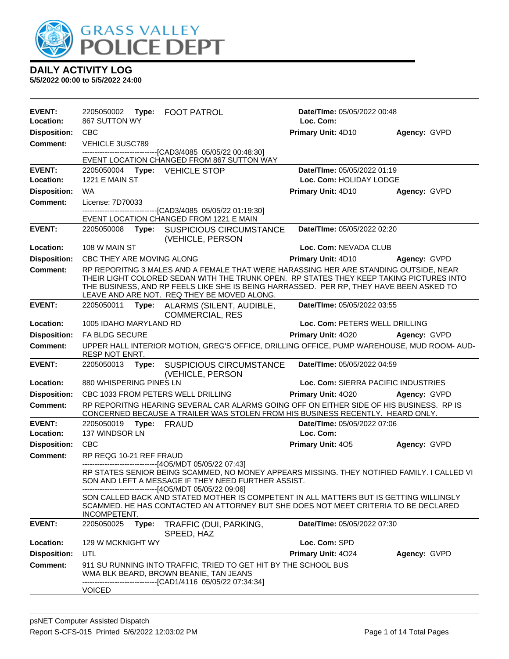

| EVENT:<br>Location: | 2205050002 Type: FOOT PATROL<br>867 SUTTON WY |                                                                                                                                                                                                                                                                                                                                                                                                                               | Date/TIme: 05/05/2022 00:48<br>Loc. Com: |              |
|---------------------|-----------------------------------------------|-------------------------------------------------------------------------------------------------------------------------------------------------------------------------------------------------------------------------------------------------------------------------------------------------------------------------------------------------------------------------------------------------------------------------------|------------------------------------------|--------------|
| <b>Disposition:</b> | <b>CBC</b>                                    |                                                                                                                                                                                                                                                                                                                                                                                                                               | Primary Unit: 4D10                       | Agency: GVPD |
| Comment:            | VEHICLE 3USC789                               |                                                                                                                                                                                                                                                                                                                                                                                                                               |                                          |              |
|                     |                                               | ------------------------------------[CAD3/4085 05/05/22 00:48:30]<br>EVENT LOCATION CHANGED FROM 867 SUTTON WAY                                                                                                                                                                                                                                                                                                               |                                          |              |
| <b>EVENT:</b>       | 2205050004    Type: VEHICLE STOP              |                                                                                                                                                                                                                                                                                                                                                                                                                               | Date/TIme: 05/05/2022 01:19              |              |
| Location:           | <b>1221 E MAIN ST</b>                         |                                                                                                                                                                                                                                                                                                                                                                                                                               | Loc. Com: HOLIDAY LODGE                  |              |
| <b>Disposition:</b> | <b>WA</b>                                     |                                                                                                                                                                                                                                                                                                                                                                                                                               | Primary Unit: 4D10                       | Agency: GVPD |
| <b>Comment:</b>     | License: 7D70033                              |                                                                                                                                                                                                                                                                                                                                                                                                                               |                                          |              |
|                     |                                               | --------------------------[CAD3/4085_05/05/22_01:19:30]<br>EVENT LOCATION CHANGED FROM 1221 E MAIN                                                                                                                                                                                                                                                                                                                            |                                          |              |
| <b>EVENT:</b>       |                                               | 2205050008 Type: SUSPICIOUS CIRCUMSTANCE<br>(VEHICLE, PERSON                                                                                                                                                                                                                                                                                                                                                                  | Date/TIme: 05/05/2022 02:20              |              |
| <b>Location:</b>    | 108 W MAIN ST                                 |                                                                                                                                                                                                                                                                                                                                                                                                                               | Loc. Com: NEVADA CLUB                    |              |
| <b>Disposition:</b> | CBC THEY ARE MOVING ALONG                     |                                                                                                                                                                                                                                                                                                                                                                                                                               | Primary Unit: 4D10                       | Agency: GVPD |
| <b>Comment:</b>     |                                               | RP REPORITNG 3 MALES AND A FEMALE THAT WERE HARASSING HER ARE STANDING OUTSIDE, NEAR<br>THEIR LIGHT COLORED SEDAN WITH THE TRUNK OPEN. RP STATES THEY KEEP TAKING PICTURES INTO<br>THE BUSINESS, AND RP FEELS LIKE SHE IS BEING HARRASSED. PER RP, THEY HAVE BEEN ASKED TO<br>LEAVE AND ARE NOT. REQ THEY BE MOVED ALONG.                                                                                                     |                                          |              |
| <b>EVENT:</b>       |                                               | 2205050011 Type: ALARMS (SILENT, AUDIBLE,                                                                                                                                                                                                                                                                                                                                                                                     | Date/TIme: 05/05/2022 03:55              |              |
|                     |                                               | <b>COMMERCIAL, RES</b>                                                                                                                                                                                                                                                                                                                                                                                                        |                                          |              |
| Location:           | 1005 IDAHO MARYLAND RD                        |                                                                                                                                                                                                                                                                                                                                                                                                                               | Loc. Com: PETERS WELL DRILLING           |              |
| <b>Disposition:</b> | FA BLDG SECURE                                |                                                                                                                                                                                                                                                                                                                                                                                                                               | Primary Unit: 4020                       | Agency: GVPD |
| Comment:            | <b>RESP NOT ENRT.</b>                         | UPPER HALL INTERIOR MOTION, GREG'S OFFICE, DRILLING OFFICE, PUMP WAREHOUSE, MUD ROOM- AUD-                                                                                                                                                                                                                                                                                                                                    |                                          |              |
| <b>EVENT:</b>       | 2205050013<br>Type:                           | <b>SUSPICIOUS CIRCUMSTANCE</b><br>(VEHICLE, PERSON                                                                                                                                                                                                                                                                                                                                                                            | Date/TIme: 05/05/2022 04:59              |              |
| Location:           | 880 WHISPERING PINES LN                       |                                                                                                                                                                                                                                                                                                                                                                                                                               | Loc. Com: SIERRA PACIFIC INDUSTRIES      |              |
| <b>Disposition:</b> | CBC 1033 FROM PETERS WELL DRILLING            |                                                                                                                                                                                                                                                                                                                                                                                                                               | Primary Unit: 4020                       | Agency: GVPD |
| <b>Comment:</b>     |                                               | RP REPORITNG HEARING SEVERAL CAR ALARMS GOING OFF ON EITHER SIDE OF HIS BUSINESS. RP IS<br>CONCERNED BECAUSE A TRAILER WAS STOLEN FROM HIS BUSINESS RECENTLY. HEARD ONLY.                                                                                                                                                                                                                                                     |                                          |              |
| <b>EVENT:</b>       | 2205050019 Type: FRAUD                        |                                                                                                                                                                                                                                                                                                                                                                                                                               | Date/TIme: 05/05/2022 07:06              |              |
| Location:           | 137 WINDSOR LN                                |                                                                                                                                                                                                                                                                                                                                                                                                                               | Loc. Com:                                |              |
| <b>Disposition:</b> | <b>CBC</b>                                    |                                                                                                                                                                                                                                                                                                                                                                                                                               | <b>Primary Unit: 405</b>                 | Agency: GVPD |
| <b>Comment:</b>     | RP REQG 10-21 REF FRAUD                       | ------------------------------[4O5/MDT 05/05/22 07:43]<br>RP STATES SENIOR BEING SCAMMED, NO MONEY APPEARS MISSING. THEY NOTIFIED FAMILY. I CALLED VI<br>SON AND LEFT A MESSAGE IF THEY NEED FURTHER ASSIST.<br>----[4O5/MDT 05/05/22 09:06]<br>SON CALLED BACK AND STATED MOTHER IS COMPETENT IN ALL MATTERS BUT IS GETTING WILLINGLY<br>SCAMMED. HE HAS CONTACTED AN ATTORNEY BUT SHE DOES NOT MEET CRITERIA TO BE DECLARED |                                          |              |
|                     | INCOMPETENT.                                  |                                                                                                                                                                                                                                                                                                                                                                                                                               |                                          |              |
| <b>EVENT:</b>       | 2205050025<br>Type:                           | TRAFFIC (DUI, PARKING,<br>SPEED, HAZ                                                                                                                                                                                                                                                                                                                                                                                          | Date/TIme: 05/05/2022 07:30              |              |
| Location:           | 129 W MCKNIGHT WY                             |                                                                                                                                                                                                                                                                                                                                                                                                                               | Loc. Com: SPD                            |              |
| <b>Disposition:</b> | UTL                                           |                                                                                                                                                                                                                                                                                                                                                                                                                               | Primary Unit: 4024                       | Agency: GVPD |
| Comment:            | <b>VOICED</b>                                 | 911 SU RUNNING INTO TRAFFIC, TRIED TO GET HIT BY THE SCHOOL BUS<br>WMA BLK BEARD, BROWN BEANIE, TAN JEANS<br>--------------------------------[CAD1/4116 05/05/22 07:34:34]                                                                                                                                                                                                                                                    |                                          |              |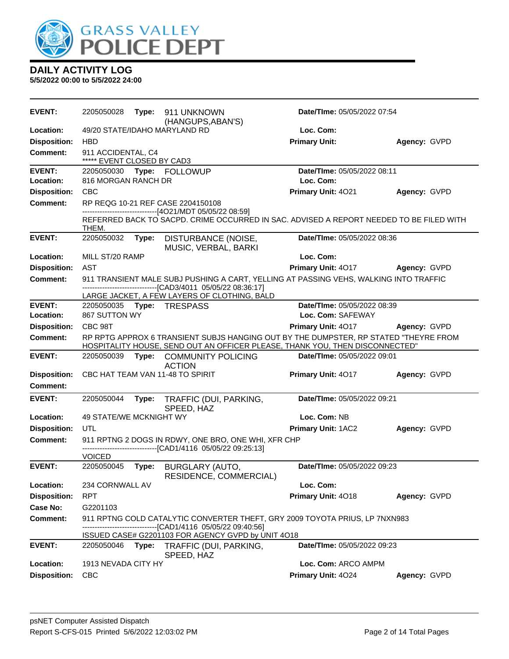

| <b>EVENT:</b>                          | 2205050028                                       | Type: | 911 UNKNOWN<br>(HANGUPS, ABAN'S)                                                                             | <b>Date/Time: 05/05/2022 07:54</b>                                                                                                                                   |              |
|----------------------------------------|--------------------------------------------------|-------|--------------------------------------------------------------------------------------------------------------|----------------------------------------------------------------------------------------------------------------------------------------------------------------------|--------------|
| Location:                              |                                                  |       | 49/20 STATE/IDAHO MARYLAND RD                                                                                | Loc. Com:                                                                                                                                                            |              |
| <b>Disposition:</b>                    | <b>HBD</b>                                       |       |                                                                                                              | <b>Primary Unit:</b>                                                                                                                                                 | Agency: GVPD |
| <b>Comment:</b>                        | 911 ACCIDENTAL, C4<br>***** EVENT CLOSED BY CAD3 |       |                                                                                                              |                                                                                                                                                                      |              |
| <b>EVENT:</b><br>Location:             | 816 MORGAN RANCH DR                              |       | 2205050030 Type: FOLLOWUP                                                                                    | Date/TIme: 05/05/2022 08:11<br>Loc. Com:                                                                                                                             |              |
| <b>Disposition:</b>                    | <b>CBC</b>                                       |       |                                                                                                              | Primary Unit: 4021                                                                                                                                                   | Agency: GVPD |
| <b>Comment:</b>                        |                                                  |       | RP REQG 10-21 REF CASE 2204150108                                                                            |                                                                                                                                                                      |              |
|                                        | THEM.                                            |       | ------------------------------[4O21/MDT 05/05/22 08:59]                                                      | REFERRED BACK TO SACPD. CRIME OCCURRED IN SAC. ADVISED A REPORT NEEDED TO BE FILED WITH                                                                              |              |
| <b>EVENT:</b>                          | 2205050032                                       | Type: | DISTURBANCE (NOISE,<br>MUSIC, VERBAL, BARKI                                                                  | Date/TIme: 05/05/2022 08:36                                                                                                                                          |              |
| Location:                              | MILL ST/20 RAMP                                  |       |                                                                                                              | Loc. Com:                                                                                                                                                            |              |
| <b>Disposition:</b>                    | AST                                              |       |                                                                                                              | Primary Unit: 4017                                                                                                                                                   | Agency: GVPD |
| Comment:                               |                                                  |       | -------------------------------[CAD3/4011 05/05/22 08:36:17]                                                 | 911 TRANSIENT MALE SUBJ PUSHING A CART, YELLING AT PASSING VEHS, WALKING INTO TRAFFIC                                                                                |              |
| <b>EVENT:</b>                          |                                                  |       | LARGE JACKET, A FEW LAYERS OF CLOTHING, BALD<br>2205050035    Type: TRESPASS                                 | Date/TIme: 05/05/2022 08:39                                                                                                                                          |              |
| Location:                              | 867 SUTTON WY                                    |       |                                                                                                              | Loc. Com: SAFEWAY                                                                                                                                                    |              |
| <b>Disposition:</b>                    | CBC 98T                                          |       |                                                                                                              | Primary Unit: 4017                                                                                                                                                   | Agency: GVPD |
| <b>Comment:</b>                        |                                                  |       |                                                                                                              | RP RPTG APPROX 6 TRANSIENT SUBJS HANGING OUT BY THE DUMPSTER, RP STATED "THEYRE FROM<br>HOSPITALITY HOUSE, SEND OUT AN OFFICER PLEASE, THANK YOU, THEN DISCONNECTED" |              |
| <b>EVENT:</b>                          | 2205050039                                       |       | Type: COMMUNITY POLICING<br><b>ACTION</b>                                                                    | Date/TIme: 05/05/2022 09:01                                                                                                                                          |              |
| <b>Disposition:</b><br><b>Comment:</b> |                                                  |       | CBC HAT TEAM VAN 11-48 TO SPIRIT                                                                             | Primary Unit: 4017                                                                                                                                                   | Agency: GVPD |
| <b>EVENT:</b>                          | 2205050044                                       | Type: | TRAFFIC (DUI, PARKING,<br>SPEED, HAZ                                                                         | Date/TIme: 05/05/2022 09:21                                                                                                                                          |              |
| Location:                              | 49 STATE/WE MCKNIGHT WY                          |       |                                                                                                              | Loc. Com: NB                                                                                                                                                         |              |
| <b>Disposition:</b>                    | UTL                                              |       |                                                                                                              | Primary Unit: 1AC2                                                                                                                                                   | Agency: GVPD |
| <b>Comment:</b>                        |                                                  |       | 911 RPTNG 2 DOGS IN RDWY, ONE BRO, ONE WHI, XFR CHP<br>------------------------[CAD1/4116 05/05/22 09:25:13] |                                                                                                                                                                      |              |
| <b>EVENT:</b>                          | <b>VOICED</b><br>2205050045                      |       |                                                                                                              | Date/TIme: 05/05/2022 09:23                                                                                                                                          |              |
|                                        |                                                  | Type: | <b>BURGLARY (AUTO,</b><br>RESIDENCE, COMMERCIAL)                                                             |                                                                                                                                                                      |              |
| Location:                              | 234 CORNWALL AV                                  |       |                                                                                                              | Loc. Com:                                                                                                                                                            |              |
| <b>Disposition:</b>                    | <b>RPT</b>                                       |       |                                                                                                              | Primary Unit: 4018                                                                                                                                                   | Agency: GVPD |
| <b>Case No:</b>                        | G2201103                                         |       |                                                                                                              |                                                                                                                                                                      |              |
| <b>Comment:</b>                        |                                                  |       | --[CAD1/4116 05/05/22 09:40:56]                                                                              | 911 RPTNG COLD CATALYTIC CONVERTER THEFT, GRY 2009 TOYOTA PRIUS, LP 7NXN983                                                                                          |              |
|                                        |                                                  |       | ISSUED CASE# G2201103 FOR AGENCY GVPD by UNIT 4O18                                                           |                                                                                                                                                                      |              |
| <b>EVENT:</b><br>Location:             | 2205050046<br>1913 NEVADA CITY HY                | Type: | TRAFFIC (DUI, PARKING,<br>SPEED, HAZ                                                                         | Date/TIme: 05/05/2022 09:23<br>Loc. Com: ARCO AMPM                                                                                                                   |              |
| <b>Disposition:</b>                    | <b>CBC</b>                                       |       |                                                                                                              | Primary Unit: 4024                                                                                                                                                   | Agency: GVPD |
|                                        |                                                  |       |                                                                                                              |                                                                                                                                                                      |              |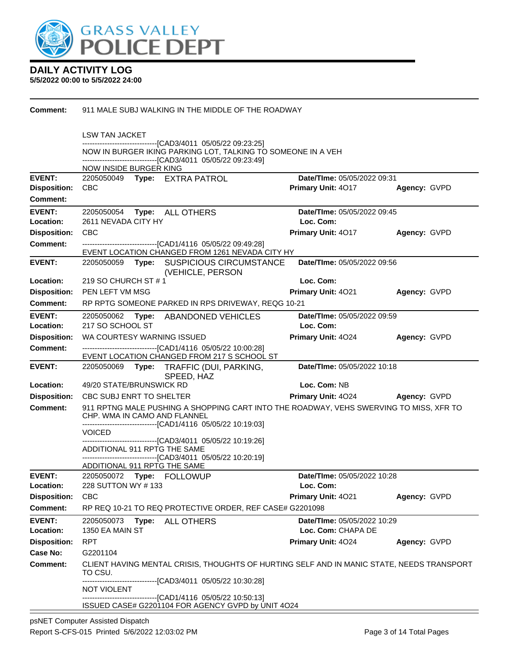

| <b>Comment:</b>                  | 911 MALE SUBJ WALKING IN THE MIDDLE OF THE ROADWAY                                                                          |                                          |              |  |  |  |
|----------------------------------|-----------------------------------------------------------------------------------------------------------------------------|------------------------------------------|--------------|--|--|--|
|                                  | <b>LSW TAN JACKET</b>                                                                                                       |                                          |              |  |  |  |
|                                  | ------------------------------[CAD3/4011 05/05/22 09:23:25]<br>NOW IN BURGER IKING PARKING LOT, TALKING TO SOMEONE IN A VEH |                                          |              |  |  |  |
|                                  | --------------------------------[CAD3/4011 05/05/22 09:23:49]                                                               | <b>NOW INSIDE BURGER KING</b>            |              |  |  |  |
| <b>EVENT:</b>                    | 2205050049 Type: EXTRA PATROL                                                                                               | Date/TIme: 05/05/2022 09:31              |              |  |  |  |
| <b>Disposition:</b>              | <b>CBC</b>                                                                                                                  | Primary Unit: 4017                       | Agency: GVPD |  |  |  |
| <b>Comment:</b>                  |                                                                                                                             |                                          |              |  |  |  |
| EVENT:<br>Location:              | 2205050054 Type: ALL OTHERS<br>2611 NEVADA CITY HY                                                                          | Date/TIme: 05/05/2022 09:45<br>Loc. Com: |              |  |  |  |
| <b>Disposition:</b>              | <b>CBC</b>                                                                                                                  | Primary Unit: 4017                       | Agency: GVPD |  |  |  |
| <b>Comment:</b>                  | -------------------------------[CAD1/4116 05/05/22 09:49:28]<br>EVENT LOCATION CHANGED FROM 1261 NEVADA CITY HY             |                                          |              |  |  |  |
| <b>EVENT:</b>                    | 2205050059 Type:<br><b>SUSPICIOUS CIRCUMSTANCE</b><br>(VEHICLE, PERSON                                                      | Date/TIme: 05/05/2022 09:56              |              |  |  |  |
| Location:                        | 219 SO CHURCH ST # 1                                                                                                        | Loc. Com:                                |              |  |  |  |
| <b>Disposition:</b>              | PEN LEFT VM MSG                                                                                                             | Primary Unit: 4021                       | Agency: GVPD |  |  |  |
| <b>Comment:</b>                  | RP RPTG SOMEONE PARKED IN RPS DRIVEWAY, REQG 10-21                                                                          |                                          |              |  |  |  |
| <b>EVENT:</b>                    | 2205050062<br>Type:<br>ABANDONED VEHICLES                                                                                   | <b>Date/Time: 05/05/2022 09:59</b>       |              |  |  |  |
| Location:                        | 217 SO SCHOOL ST                                                                                                            | Loc. Com:                                |              |  |  |  |
| <b>Disposition:</b>              | WA COURTESY WARNING ISSUED                                                                                                  | <b>Primary Unit: 4024</b>                | Agency: GVPD |  |  |  |
| <b>Comment:</b>                  | -------------------------------[CAD1/4116 05/05/22 10:00:28]<br>EVENT LOCATION CHANGED FROM 217 S SCHOOL ST                 |                                          |              |  |  |  |
| <b>EVENT:</b>                    | 2205050069 Type: TRAFFIC (DUI, PARKING,<br>SPEED, HAZ                                                                       | Date/TIme: 05/05/2022 10:18              |              |  |  |  |
| Location:                        | 49/20 STATE/BRUNSWICK RD                                                                                                    | Loc. Com: NB                             |              |  |  |  |
| <b>Disposition:</b>              | CBC SUBJ ENRT TO SHELTER                                                                                                    | <b>Primary Unit: 4024</b>                | Agency: GVPD |  |  |  |
| <b>Comment:</b>                  | 911 RPTNG MALE PUSHING A SHOPPING CART INTO THE ROADWAY, VEHS SWERVING TO MISS, XFR TO<br>CHP. WMA IN CAMO AND FLANNEL      |                                          |              |  |  |  |
|                                  | ------------------------------[CAD1/4116 05/05/22 10:19:03]<br>VOICED.                                                      |                                          |              |  |  |  |
|                                  | ------------------[CAD3/4011 05/05/22 10:19:26]                                                                             |                                          |              |  |  |  |
|                                  | ADDITIONAL 911 RPTG THE SAME<br>----------------------------[CAD3/4011_05/05/22 10:20:19]                                   |                                          |              |  |  |  |
|                                  | ADDITIONAL 911 RPTG THE SAME                                                                                                |                                          |              |  |  |  |
| <b>EVENT:</b>                    | 2205050072 Type: FOLLOWUP                                                                                                   | <b>Date/Time: 05/05/2022 10:28</b>       |              |  |  |  |
| Location:                        | 228 SUTTON WY #133                                                                                                          | Loc. Com:                                |              |  |  |  |
| <b>Disposition:</b>              | <b>CBC</b>                                                                                                                  | Primary Unit: 4021                       | Agency: GVPD |  |  |  |
| <b>Comment:</b>                  | RP REQ 10-21 TO REQ PROTECTIVE ORDER, REF CASE# G2201098                                                                    |                                          |              |  |  |  |
| <b>EVENT:</b>                    | 2205050073<br>Type:<br><b>ALL OTHERS</b>                                                                                    | Date/TIme: 05/05/2022 10:29              |              |  |  |  |
| Location:<br><b>Disposition:</b> | 1350 EA MAIN ST<br><b>RPT</b>                                                                                               | Loc. Com: CHAPA DE<br>Primary Unit: 4024 | Agency: GVPD |  |  |  |
| <b>Case No:</b>                  | G2201104                                                                                                                    |                                          |              |  |  |  |
| <b>Comment:</b>                  | CLIENT HAVING MENTAL CRISIS, THOUGHTS OF HURTING SELF AND IN MANIC STATE, NEEDS TRANSPORT<br>TO CSU.                        |                                          |              |  |  |  |
|                                  | -------------------------------[CAD3/4011 05/05/22 10:30:28]<br>NOT VIOLENT                                                 |                                          |              |  |  |  |
|                                  | -------------------[CAD1/4116_05/05/22 10:50:13]<br>ISSUED CASE# G2201104 FOR AGENCY GVPD by UNIT 4024                      |                                          |              |  |  |  |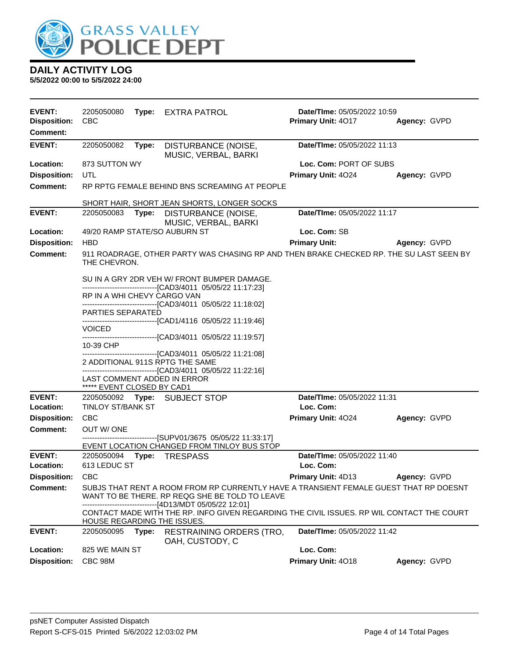

| <b>EVENT:</b>                          | 2205050080                  | Type: | <b>EXTRA PATROL</b>                                                                                                        | Date/TIme: 05/05/2022 10:59 |              |
|----------------------------------------|-----------------------------|-------|----------------------------------------------------------------------------------------------------------------------------|-----------------------------|--------------|
| <b>Disposition:</b><br><b>Comment:</b> | <b>CBC</b>                  |       |                                                                                                                            | Primary Unit: 4017          | Agency: GVPD |
| <b>EVENT:</b>                          | 2205050082                  | Type: | DISTURBANCE (NOISE,<br>MUSIC, VERBAL, BARKI                                                                                | Date/TIme: 05/05/2022 11:13 |              |
| Location:                              | 873 SUTTON WY               |       |                                                                                                                            | Loc. Com: PORT OF SUBS      |              |
| <b>Disposition:</b>                    | UTL                         |       |                                                                                                                            | Primary Unit: 4024          | Agency: GVPD |
| <b>Comment:</b>                        |                             |       | RP RPTG FEMALE BEHIND BNS SCREAMING AT PEOPLE                                                                              |                             |              |
|                                        |                             |       | SHORT HAIR, SHORT JEAN SHORTS, LONGER SOCKS                                                                                |                             |              |
| <b>EVENT:</b>                          | 2205050083                  |       | Type: DISTURBANCE (NOISE,                                                                                                  | Date/TIme: 05/05/2022 11:17 |              |
|                                        |                             |       | MUSIC, VERBAL, BARKI                                                                                                       |                             |              |
| Location:                              |                             |       | 49/20 RAMP STATE/SO AUBURN ST                                                                                              | Loc. Com: SB                |              |
| <b>Disposition:</b><br><b>Comment:</b> | <b>HBD</b>                  |       |                                                                                                                            | <b>Primary Unit:</b>        | Agency: GVPD |
|                                        | THE CHEVRON.                |       | 911 ROADRAGE, OTHER PARTY WAS CHASING RP AND THEN BRAKE CHECKED RP. THE SU LAST SEEN BY                                    |                             |              |
|                                        |                             |       | SU IN A GRY 2DR VEH W/ FRONT BUMPER DAMAGE.                                                                                |                             |              |
|                                        | RP IN A WHI CHEVY CARGO VAN |       | ------------------------------[CAD3/4011_05/05/22 11:17:23]<br>------------------------------[CAD3/4011 05/05/22 11:18:02] |                             |              |
|                                        | PARTIES SEPARATED           |       | ------------------------------[CAD1/4116 05/05/22 11:19:46]                                                                |                             |              |
|                                        | <b>VOICED</b>               |       | ------------------------------[CAD3/4011 05/05/22 11:19:57]                                                                |                             |              |
|                                        | 10-39 CHP                   |       | ------------------------------[CAD3/4011 05/05/22 11:21:08]                                                                |                             |              |
|                                        |                             |       | 2 ADDITIONAL 911S RPTG THE SAME                                                                                            |                             |              |
|                                        |                             |       | -------------------------------[CAD3/4011 05/05/22 11:22:16]<br>LAST COMMENT ADDED IN ERROR                                |                             |              |
|                                        | ***** EVENT CLOSED BY CAD1  |       |                                                                                                                            |                             |              |
| <b>EVENT:</b>                          |                             |       | 2205050092 Type: SUBJECT STOP                                                                                              | Date/TIme: 05/05/2022 11:31 |              |
| Location:                              | <b>TINLOY ST/BANK ST</b>    |       |                                                                                                                            | Loc. Com:                   |              |
| <b>Disposition:</b>                    | <b>CBC</b>                  |       |                                                                                                                            | Primary Unit: 4024          | Agency: GVPD |
| <b>Comment:</b>                        | OUT W/ONE                   |       | ------------------------------[SUPV01/3675_05/05/22 11:33:17]                                                              |                             |              |
|                                        |                             |       | EVENT LOCATION CHANGED FROM TINLOY BUS STOP                                                                                |                             |              |
| <b>EVENT:</b>                          | 2205050094 Type:            |       | <b>TRESPASS</b>                                                                                                            | Date/TIme: 05/05/2022 11:40 |              |
| Location:<br>Disposition: CBC          | 613 LEDUC ST                |       |                                                                                                                            | Loc. Com:                   | Agency: GVPD |
| <b>Comment:</b>                        |                             |       | SUBJS THAT RENT A ROOM FROM RP CURRENTLY HAVE A TRANSIENT FEMALE GUEST THAT RP DOESNT                                      | <b>Primary Unit: 4D13</b>   |              |
|                                        |                             |       | WANT TO BE THERE. RP REQG SHE BE TOLD TO LEAVE<br>---------------------[4D13/MDT 05/05/22 12:01]                           |                             |              |
|                                        | HOUSE REGARDING THE ISSUES. |       | CONTACT MADE WITH THE RP. INFO GIVEN REGARDING THE CIVIL ISSUES. RP WIL CONTACT THE COURT                                  |                             |              |
| <b>EVENT:</b>                          | 2205050095                  | Type: | <b>RESTRAINING ORDERS (TRO,</b><br>OAH, CUSTODY, C                                                                         | Date/TIme: 05/05/2022 11:42 |              |
| Location:                              | 825 WE MAIN ST              |       |                                                                                                                            | Loc. Com:                   |              |
| <b>Disposition:</b>                    | CBC 98M                     |       |                                                                                                                            | Primary Unit: 4018          | Agency: GVPD |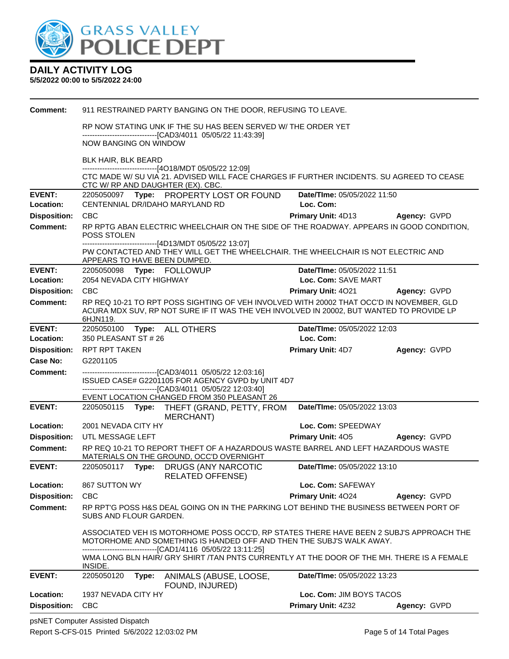

| <b>Comment:</b>     | 911 RESTRAINED PARTY BANGING ON THE DOOR, REFUSING TO LEAVE.                                                                                                                                     |       |                                                                                                                                                                                           |                                    |              |
|---------------------|--------------------------------------------------------------------------------------------------------------------------------------------------------------------------------------------------|-------|-------------------------------------------------------------------------------------------------------------------------------------------------------------------------------------------|------------------------------------|--------------|
|                     | RP NOW STATING UNK IF THE SU HAS BEEN SERVED W/ THE ORDER YET<br>-------------------------------[CAD3/4011 05/05/22 11:43:39]                                                                    |       |                                                                                                                                                                                           |                                    |              |
|                     | <b>NOW BANGING ON WINDOW</b>                                                                                                                                                                     |       |                                                                                                                                                                                           |                                    |              |
|                     | BLK HAIR, BLK BEARD                                                                                                                                                                              |       |                                                                                                                                                                                           |                                    |              |
|                     |                                                                                                                                                                                                  |       | ------------------------------[4O18/MDT 05/05/22 12:09]<br>CTC MADE W/ SU VIA 21. ADVISED WILL FACE CHARGES IF FURTHER INCIDENTS. SU AGREED TO CEASE<br>CTC W/ RP AND DAUGHTER (EX). CBC. |                                    |              |
| <b>EVENT:</b>       |                                                                                                                                                                                                  |       | 2205050097 Type: PROPERTY LOST OR FOUND                                                                                                                                                   | Date/TIme: 05/05/2022 11:50        |              |
| Location:           |                                                                                                                                                                                                  |       | CENTENNIAL DR/IDAHO MARYLAND RD                                                                                                                                                           | Loc. Com:                          |              |
| <b>Disposition:</b> | <b>CBC</b>                                                                                                                                                                                       |       |                                                                                                                                                                                           | <b>Primary Unit: 4D13</b>          | Agency: GVPD |
| <b>Comment:</b>     | POSS STOLEN                                                                                                                                                                                      |       | RP RPTG ABAN ELECTRIC WHEELCHAIR ON THE SIDE OF THE ROADWAY. APPEARS IN GOOD CONDITION,                                                                                                   |                                    |              |
|                     | ------------------------------[4D13/MDT 05/05/22 13:07]<br>PW CONTACTED AND THEY WILL GET THE WHEELCHAIR. THE WHEELCHAIR IS NOT ELECTRIC AND<br>APPEARS TO HAVE BEEN DUMPED.                     |       |                                                                                                                                                                                           |                                    |              |
| <b>EVENT:</b>       |                                                                                                                                                                                                  |       | 2205050098 Type: FOLLOWUP                                                                                                                                                                 | Date/TIme: 05/05/2022 11:51        |              |
| Location:           | 2054 NEVADA CITY HIGHWAY                                                                                                                                                                         |       |                                                                                                                                                                                           | Loc. Com: SAVE MART                |              |
| <b>Disposition:</b> | <b>CBC</b>                                                                                                                                                                                       |       |                                                                                                                                                                                           | Primary Unit: 4021                 | Agency: GVPD |
| Comment:            | RP REQ 10-21 TO RPT POSS SIGHTING OF VEH INVOLVED WITH 20002 THAT OCC'D IN NOVEMBER, GLD<br>ACURA MDX SUV, RP NOT SURE IF IT WAS THE VEH INVOLVED IN 20002, BUT WANTED TO PROVIDE LP<br>6HJN119. |       |                                                                                                                                                                                           |                                    |              |
| <b>EVENT:</b>       |                                                                                                                                                                                                  |       | 2205050100 Type: ALL OTHERS                                                                                                                                                               | Date/TIme: 05/05/2022 12:03        |              |
| Location:           | 350 PLEASANT ST # 26                                                                                                                                                                             |       |                                                                                                                                                                                           | Loc. Com:                          |              |
| <b>Disposition:</b> | <b>RPT RPT TAKEN</b>                                                                                                                                                                             |       |                                                                                                                                                                                           | <b>Primary Unit: 4D7</b>           | Agency: GVPD |
| Case No:            | G2201105                                                                                                                                                                                         |       |                                                                                                                                                                                           |                                    |              |
| <b>Comment:</b>     |                                                                                                                                                                                                  |       | --------------------------------[CAD3/4011 05/05/22 12:03:16]<br>ISSUED CASE# G2201105 FOR AGENCY GVPD by UNIT 4D7<br>--------------------------------[CAD3/4011 05/05/22 12:03:40]       |                                    |              |
|                     |                                                                                                                                                                                                  |       | EVENT LOCATION CHANGED FROM 350 PLEASANT 26                                                                                                                                               |                                    |              |
| <b>EVENT:</b>       |                                                                                                                                                                                                  |       | 2205050115 Type: THEFT (GRAND, PETTY, FROM<br><b>MERCHANT</b> )                                                                                                                           | Date/TIme: 05/05/2022 13:03        |              |
| Location:           | 2001 NEVADA CITY HY                                                                                                                                                                              |       |                                                                                                                                                                                           | Loc. Com: SPEEDWAY                 |              |
| <b>Disposition:</b> | UTL MESSAGE LEFT                                                                                                                                                                                 |       |                                                                                                                                                                                           | <b>Primary Unit: 405</b>           |              |
| <b>Comment:</b>     | RP REQ 10-21 TO REPORT THEFT OF A HAZARDOUS WASTE BARREL AND LEFT HAZARDOUS WASTE<br>MATERIALS ON THE GROUND, OCC'D OVERNIGHT                                                                    |       |                                                                                                                                                                                           |                                    | Agency: GVPD |
|                     |                                                                                                                                                                                                  |       |                                                                                                                                                                                           |                                    |              |
| <b>EVENT:</b>       | 2205050117 <b>Type:</b>                                                                                                                                                                          |       | <b>DRUGS (ANY NARCOTIC</b><br><b>RELATED OFFENSE)</b>                                                                                                                                     | Date/TIme: 05/05/2022 13:10        |              |
| Location:           | 867 SUTTON WY                                                                                                                                                                                    |       |                                                                                                                                                                                           | Loc. Com: SAFEWAY                  |              |
| <b>Disposition:</b> | <b>CBC</b>                                                                                                                                                                                       |       |                                                                                                                                                                                           | Primary Unit: 4024                 | Agency: GVPD |
| <b>Comment:</b>     | SUBS AND FLOUR GARDEN.                                                                                                                                                                           |       | RP RPT'G POSS H&S DEAL GOING ON IN THE PARKING LOT BEHIND THE BUSINESS BETWEEN PORT OF                                                                                                    |                                    |              |
|                     |                                                                                                                                                                                                  |       | ASSOCIATED VEH IS MOTORHOME POSS OCC'D, RP STATES THERE HAVE BEEN 2 SUBJ'S APPROACH THE<br>MOTORHOME AND SOMETHING IS HANDED OFF AND THEN THE SUBJ'S WALK AWAY.                           |                                    |              |
|                     | INSIDE.                                                                                                                                                                                          |       | --------------------------------[CAD1/4116 05/05/22 13:11:25]<br>WMA LONG BLN HAIR/ GRY SHIRT /TAN PNTS CURRENTLY AT THE DOOR OF THE MH. THERE IS A FEMALE                                |                                    |              |
| <b>EVENT:</b>       | 2205050120                                                                                                                                                                                       | Type: | ANIMALS (ABUSE, LOOSE,<br>FOUND, INJURED)                                                                                                                                                 | <b>Date/TIme: 05/05/2022 13:23</b> |              |
| Location:           | 1937 NEVADA CITY HY                                                                                                                                                                              |       |                                                                                                                                                                                           | Loc. Com: JIM BOYS TACOS           |              |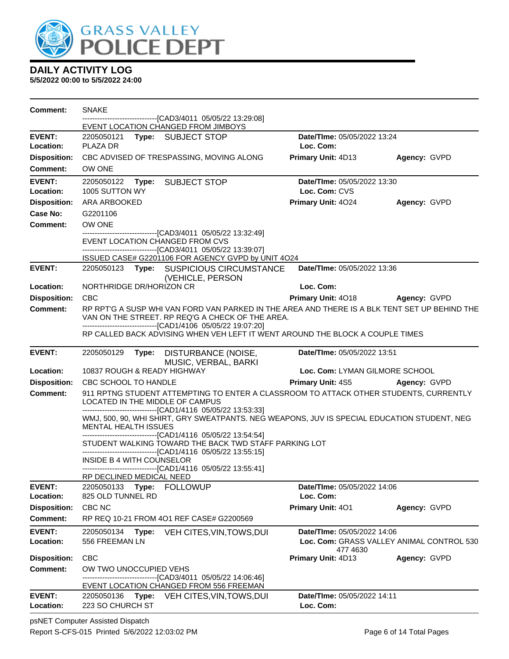

**5/5/2022 00:00 to 5/5/2022 24:00**

| <b>Comment:</b>            | <b>SNAKE</b>                     |       |                                                                                                                                                                                           |                    |                                |                                           |
|----------------------------|----------------------------------|-------|-------------------------------------------------------------------------------------------------------------------------------------------------------------------------------------------|--------------------|--------------------------------|-------------------------------------------|
|                            |                                  |       | -------------------------------[CAD3/4011 05/05/22 13:29:08]<br>EVENT LOCATION CHANGED FROM JIMBOYS                                                                                       |                    |                                |                                           |
| <b>EVENT:</b>              |                                  |       | 2205050121 Type: SUBJECT STOP                                                                                                                                                             |                    | Date/TIme: 05/05/2022 13:24    |                                           |
| Location:                  | PLAZA DR                         |       |                                                                                                                                                                                           | Loc. Com:          |                                |                                           |
| <b>Disposition:</b>        |                                  |       | CBC ADVISED OF TRESPASSING, MOVING ALONG                                                                                                                                                  | Primary Unit: 4D13 |                                | Agency: GVPD                              |
| Comment:                   | OW ONE                           |       |                                                                                                                                                                                           |                    |                                |                                           |
| <b>EVENT:</b>              |                                  |       | 2205050122 Type: SUBJECT STOP                                                                                                                                                             |                    | Date/TIme: 05/05/2022 13:30    |                                           |
| Location:                  | 1005 SUTTON WY                   |       |                                                                                                                                                                                           | Loc. Com: CVS      |                                |                                           |
| <b>Disposition:</b>        | ARA ARBOOKED                     |       |                                                                                                                                                                                           | Primary Unit: 4024 |                                | Agency: GVPD                              |
| Case No:                   | G2201106                         |       |                                                                                                                                                                                           |                    |                                |                                           |
| <b>Comment:</b>            | OW ONE                           |       | ---------------------------------[CAD3/4011_05/05/22_13:32:49]                                                                                                                            |                    |                                |                                           |
|                            |                                  |       | EVENT LOCATION CHANGED FROM CVS                                                                                                                                                           |                    |                                |                                           |
|                            |                                  |       | -------------------------------[CAD3/4011 05/05/22 13:39:07]<br>ISSUED CASE# G2201106 FOR AGENCY GVPD by UNIT 4O24                                                                        |                    |                                |                                           |
| <b>EVENT:</b>              |                                  |       | 2205050123 Type: SUSPICIOUS CIRCUMSTANCE                                                                                                                                                  |                    | Date/TIme: 05/05/2022 13:36    |                                           |
|                            |                                  |       | (VEHICLE, PERSON                                                                                                                                                                          |                    |                                |                                           |
| Location:                  | NORTHRIDGE DR/HORIZON CR         |       |                                                                                                                                                                                           | Loc. Com:          |                                |                                           |
| <b>Disposition:</b>        | <b>CBC</b>                       |       |                                                                                                                                                                                           | Primary Unit: 4018 |                                | Agency: GVPD                              |
| Comment:                   |                                  |       | RP RPT'G A SUSP WHI VAN FORD VAN PARKED IN THE AREA AND THERE IS A BLK TENT SET UP BEHIND THE<br>VAN ON THE STREET. RP REQ'G A CHECK OF THE AREA.                                         |                    |                                |                                           |
|                            |                                  |       | -------------------------------[CAD1/4106 05/05/22 19:07:20]<br>RP CALLED BACK ADVISING WHEN VEH LEFT IT WENT AROUND THE BLOCK A COUPLE TIMES                                             |                    |                                |                                           |
| <b>EVENT:</b>              | 2205050129                       |       | Type: DISTURBANCE (NOISE,<br>MUSIC, VERBAL, BARKI                                                                                                                                         |                    | Date/TIme: 05/05/2022 13:51    |                                           |
| Location:                  |                                  |       | 10837 ROUGH & READY HIGHWAY                                                                                                                                                               |                    | Loc. Com: LYMAN GILMORE SCHOOL |                                           |
| <b>Disposition:</b>        | CBC SCHOOL TO HANDLE             |       |                                                                                                                                                                                           |                    |                                | Primary Unit: 4S5 Agency: GVPD            |
| <b>Comment:</b>            |                                  |       | 911 RPTNG STUDENT ATTEMPTING TO ENTER A CLASSROOM TO ATTACK OTHER STUDENTS, CURRENTLY<br>LOCATED IN THE MIDDLE OF CAMPUS<br>--------------------------------[CAD1/4116 05/05/22 13:53:33] |                    |                                |                                           |
|                            | MENTAL HEALTH ISSUES             |       | WMJ, 500, 90, WHI SHIRT, GRY SWEATPANTS. NEG WEAPONS, JUV IS SPECIAL EDUCATION STUDENT, NEG                                                                                               |                    |                                |                                           |
|                            |                                  |       | -------------------------------[CAD1/4116 05/05/22 13:54:54]<br>STUDENT WALKING TOWARD THE BACK TWD STAFF PARKING LOT<br>-------------------------------[CAD1/4116 05/05/22 13:55:15]     |                    |                                |                                           |
|                            | <b>INSIDE B 4 WITH COUNSELOR</b> |       | ------------------------------[CAD1/4116 05/05/22 13:55:41]<br>RP DECLINED MEDICAL NEED                                                                                                   |                    |                                |                                           |
| <b>EVENT:</b>              | 2205050133                       |       | Type: FOLLOWUP                                                                                                                                                                            |                    | Date/TIme: 05/05/2022 14:06    |                                           |
| Location:                  | 825 OLD TUNNEL RD                |       |                                                                                                                                                                                           | Loc. Com:          |                                |                                           |
| <b>Disposition:</b>        | CBC NC                           |       |                                                                                                                                                                                           | Primary Unit: 401  |                                | Agency: GVPD                              |
| Comment:                   |                                  |       | RP REQ 10-21 FROM 401 REF CASE# G2200569                                                                                                                                                  |                    |                                |                                           |
| <b>EVENT:</b><br>Location: | 2205050134<br>556 FREEMAN LN     | Type: | VEH CITES, VIN, TOWS, DUI                                                                                                                                                                 |                    | Date/TIme: 05/05/2022 14:06    | Loc. Com: GRASS VALLEY ANIMAL CONTROL 530 |
| <b>Disposition:</b>        | CBC                              |       |                                                                                                                                                                                           | Primary Unit: 4D13 | 477 4630                       | Agency: GVPD                              |
| <b>Comment:</b>            | OW TWO UNOCCUPIED VEHS           |       |                                                                                                                                                                                           |                    |                                |                                           |
|                            |                                  |       | --------------------------[CAD3/4011_05/05/22_14:06:46]<br>EVENT LOCATION CHANGED FROM 556 FREEMAN                                                                                        |                    |                                |                                           |
| <b>EVENT:</b><br>Location: | 223 SO CHURCH ST                 |       | 2205050136 Type: VEH CITES, VIN, TOWS, DUI                                                                                                                                                | Loc. Com:          | Date/TIme: 05/05/2022 14:11    |                                           |

psNET Computer Assisted Dispatch Report S-CFS-015 Printed 5/6/2022 12:03:02 PM Page 6 of 14 Total Pages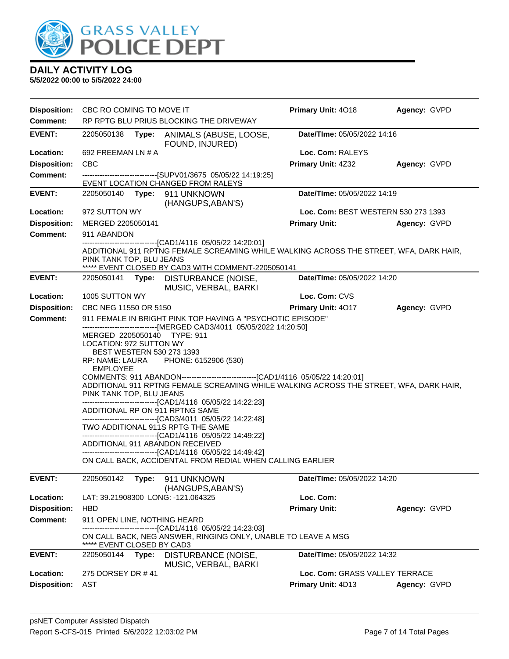

|                     | <b>Disposition:</b> CBC RO COMING TO MOVE IT                                                                                                                 |       |                                                                                                                                                                                                                                                                                                                                                                                                                                                                                                                                                    | Primary Unit: 4018                  | Agency: GVPD |
|---------------------|--------------------------------------------------------------------------------------------------------------------------------------------------------------|-------|----------------------------------------------------------------------------------------------------------------------------------------------------------------------------------------------------------------------------------------------------------------------------------------------------------------------------------------------------------------------------------------------------------------------------------------------------------------------------------------------------------------------------------------------------|-------------------------------------|--------------|
| <b>Comment:</b>     |                                                                                                                                                              |       | RP RPTG BLU PRIUS BLOCKING THE DRIVEWAY                                                                                                                                                                                                                                                                                                                                                                                                                                                                                                            |                                     |              |
| <b>EVENT:</b>       | 2205050138                                                                                                                                                   | Type: | ANIMALS (ABUSE, LOOSE,<br>FOUND, INJURED)                                                                                                                                                                                                                                                                                                                                                                                                                                                                                                          | Date/TIme: 05/05/2022 14:16         |              |
| Location:           | 692 FREEMAN LN # A                                                                                                                                           |       |                                                                                                                                                                                                                                                                                                                                                                                                                                                                                                                                                    | Loc. Com: RALEYS                    |              |
| <b>Disposition:</b> | <b>CBC</b>                                                                                                                                                   |       |                                                                                                                                                                                                                                                                                                                                                                                                                                                                                                                                                    | Primary Unit: 4Z32                  | Agency: GVPD |
| <b>Comment:</b>     |                                                                                                                                                              |       | -------------------------------[SUPV01/3675 05/05/22 14:19:25]<br>EVENT LOCATION CHANGED FROM RALEYS                                                                                                                                                                                                                                                                                                                                                                                                                                               |                                     |              |
| <b>EVENT:</b>       | 2205050140                                                                                                                                                   |       | Type: 911 UNKNOWN<br>(HANGUPS, ABAN'S)                                                                                                                                                                                                                                                                                                                                                                                                                                                                                                             | Date/TIme: 05/05/2022 14:19         |              |
| Location:           | 972 SUTTON WY                                                                                                                                                |       |                                                                                                                                                                                                                                                                                                                                                                                                                                                                                                                                                    | Loc. Com: BEST WESTERN 530 273 1393 |              |
| <b>Disposition:</b> | MERGED 2205050141                                                                                                                                            |       |                                                                                                                                                                                                                                                                                                                                                                                                                                                                                                                                                    | <b>Primary Unit:</b>                | Agency: GVPD |
| <b>Comment:</b>     | 911 ABANDON                                                                                                                                                  |       |                                                                                                                                                                                                                                                                                                                                                                                                                                                                                                                                                    |                                     |              |
|                     | PINK TANK TOP, BLU JEANS                                                                                                                                     |       | ---------------------------[CAD1/4116  05/05/22 14:20:01]<br>ADDITIONAL 911 RPTNG FEMALE SCREAMING WHILE WALKING ACROSS THE STREET, WFA, DARK HAIR,<br>***** EVENT CLOSED BY CAD3 WITH COMMENT-2205050141                                                                                                                                                                                                                                                                                                                                          |                                     |              |
| <b>EVENT:</b>       | 2205050141                                                                                                                                                   |       | Type: DISTURBANCE (NOISE,<br>MUSIC, VERBAL, BARKI                                                                                                                                                                                                                                                                                                                                                                                                                                                                                                  | Date/TIme: 05/05/2022 14:20         |              |
| Location:           | 1005 SUTTON WY                                                                                                                                               |       |                                                                                                                                                                                                                                                                                                                                                                                                                                                                                                                                                    | Loc. Com: CVS                       |              |
| <b>Disposition:</b> | CBC NEG 11550 OR 5150                                                                                                                                        |       |                                                                                                                                                                                                                                                                                                                                                                                                                                                                                                                                                    | Primary Unit: 4017                  | Agency: GVPD |
| <b>Comment:</b>     |                                                                                                                                                              |       | 911 FEMALE IN BRIGHT PINK TOP HAVING A "PSYCHOTIC EPISODE"<br>------------------------------[MERGED CAD3/4011 05/05/2022 14:20:50]                                                                                                                                                                                                                                                                                                                                                                                                                 |                                     |              |
|                     | MERGED 2205050140 TYPE: 911<br><b>LOCATION: 972 SUTTON WY</b><br>BEST WESTERN 530 273 1393<br>RP: NAME: LAURA<br><b>EMPLOYEE</b><br>PINK TANK TOP, BLU JEANS |       | PHONE: 6152906 (530)<br>ADDITIONAL 911 RPTNG FEMALE SCREAMING WHILE WALKING ACROSS THE STREET, WFA, DARK HAIR,<br>------------------------------[CAD1/4116 05/05/22 14:22:23]<br>ADDITIONAL RP ON 911 RPTNG SAME<br>------------------------------[CAD3/4011 05/05/22 14:22:48]<br>TWO ADDITIONAL 911S RPTG THE SAME<br>------------------------------[CAD1/4116 05/05/22 14:49:22]<br>ADDITIONAL 911 ABANDON RECEIVED<br>------------------------------[CAD1/4116 05/05/22 14:49:42]<br>ON CALL BACK, ACCIDENTAL FROM REDIAL WHEN CALLING EARLIER |                                     |              |
| <b>EVENT:</b>       | 2205050142                                                                                                                                                   | Type: | 911 UNKNOWN<br>(HANGUPS, ABAN'S)                                                                                                                                                                                                                                                                                                                                                                                                                                                                                                                   | Date/TIme: 05/05/2022 14:20         |              |
| Location:           |                                                                                                                                                              |       | LAT: 39.21908300 LONG: -121.064325                                                                                                                                                                                                                                                                                                                                                                                                                                                                                                                 | Loc. Com:                           |              |
| <b>Disposition:</b> | <b>HBD</b>                                                                                                                                                   |       |                                                                                                                                                                                                                                                                                                                                                                                                                                                                                                                                                    | <b>Primary Unit:</b>                | Agency: GVPD |
| <b>Comment:</b>     | 911 OPEN LINE, NOTHING HEARD<br>***** EVENT CLOSED BY CAD3                                                                                                   |       | -------[CAD1/4116 05/05/22 14:23:03]<br>ON CALL BACK, NEG ANSWER, RINGING ONLY, UNABLE TO LEAVE A MSG                                                                                                                                                                                                                                                                                                                                                                                                                                              |                                     |              |
| <b>EVENT:</b>       | 2205050144                                                                                                                                                   | Type: | DISTURBANCE (NOISE,<br>MUSIC, VERBAL, BARKI                                                                                                                                                                                                                                                                                                                                                                                                                                                                                                        | Date/TIme: 05/05/2022 14:32         |              |
| Location:           | 275 DORSEY DR #41                                                                                                                                            |       |                                                                                                                                                                                                                                                                                                                                                                                                                                                                                                                                                    | Loc. Com: GRASS VALLEY TERRACE      |              |
| <b>Disposition:</b> | AST                                                                                                                                                          |       |                                                                                                                                                                                                                                                                                                                                                                                                                                                                                                                                                    | <b>Primary Unit: 4D13</b>           | Agency: GVPD |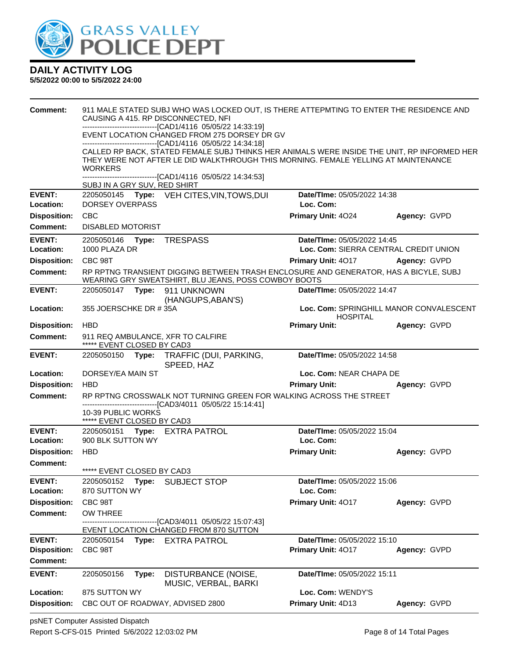

| <b>Comment:</b>                  | 911 MALE STATED SUBJ WHO WAS LOCKED OUT, IS THERE ATTEPMTING TO ENTER THE RESIDENCE AND<br>CAUSING A 415. RP DISCONNECTED, NFI               |                                                            |              |
|----------------------------------|----------------------------------------------------------------------------------------------------------------------------------------------|------------------------------------------------------------|--------------|
|                                  | -------------------------------[CAD1/4116 05/05/22 14:33:19]<br>EVENT LOCATION CHANGED FROM 275 DORSEY DR GV                                 |                                                            |              |
|                                  | ---------------------------------[CAD1/4116 05/05/22 14:34:18]                                                                               |                                                            |              |
|                                  | CALLED RP BACK, STATED FEMALE SUBJ THINKS HER ANIMALS WERE INSIDE THE UNIT, RP INFORMED HER                                                  |                                                            |              |
|                                  | THEY WERE NOT AFTER LE DID WALKTHROUGH THIS MORNING. FEMALE YELLING AT MAINTENANCE<br><b>WORKERS</b>                                         |                                                            |              |
|                                  | -------------------------------[CAD1/4116 05/05/22 14:34:53]<br>SUBJ IN A GRY SUV, RED SHIRT                                                 |                                                            |              |
| <b>EVENT:</b>                    | 2205050145 Type: VEH CITES, VIN, TOWS, DUI                                                                                                   | Date/TIme: 05/05/2022 14:38                                |              |
| Location:                        | DORSEY OVERPASS                                                                                                                              | Loc. Com:                                                  |              |
| <b>Disposition:</b>              | <b>CBC</b>                                                                                                                                   | Primary Unit: 4024                                         | Agency: GVPD |
| <b>Comment:</b>                  | <b>DISABLED MOTORIST</b>                                                                                                                     |                                                            |              |
| <b>EVENT:</b>                    | 2205050146    Type: TRESPASS                                                                                                                 | Date/TIme: 05/05/2022 14:45                                |              |
| Location:                        | 1000 PLAZA DR                                                                                                                                | Loc. Com: SIERRA CENTRAL CREDIT UNION                      |              |
| <b>Disposition:</b>              | CBC 98T                                                                                                                                      | <b>Primary Unit: 4017</b>                                  | Agency: GVPD |
| <b>Comment:</b>                  | RP RPTNG TRANSIENT DIGGING BETWEEN TRASH ENCLOSURE AND GENERATOR, HAS A BICYLE, SUBJ<br>WEARING GRY SWEATSHIRT, BLU JEANS, POSS COWBOY BOOTS |                                                            |              |
| <b>EVENT:</b>                    | 2205050147    Type: 911    UNKNOWN<br>(HANGUPS, ABAN'S)                                                                                      | Date/TIme: 05/05/2022 14:47                                |              |
| Location:                        | 355 JOERSCHKE DR #35A                                                                                                                        | Loc. Com: SPRINGHILL MANOR CONVALESCENT<br><b>HOSPITAL</b> |              |
| <b>Disposition:</b>              | <b>HBD</b>                                                                                                                                   | <b>Primary Unit:</b>                                       | Agency: GVPD |
| Comment:                         | 911 REQ AMBULANCE, XFR TO CALFIRE<br>***** EVENT CLOSED BY CAD3                                                                              |                                                            |              |
| <b>EVENT:</b>                    | 2205050150 Type: TRAFFIC (DUI, PARKING,<br>SPEED, HAZ                                                                                        | Date/TIme: 05/05/2022 14:58                                |              |
| Location:                        | DORSEY/EA MAIN ST                                                                                                                            | Loc. Com: NEAR CHAPA DE                                    |              |
| <b>Disposition:</b>              | <b>HBD</b>                                                                                                                                   | <b>Primary Unit:</b>                                       | Agency: GVPD |
| <b>Comment:</b>                  | RP RPTNG CROSSWALK NOT TURNING GREEN FOR WALKING ACROSS THE STREET<br>------------------------------[CAD3/4011 05/05/22 15:14:41]            |                                                            |              |
|                                  | 10-39 PUBLIC WORKS                                                                                                                           |                                                            |              |
|                                  | ***** EVENT CLOSED BY CAD3                                                                                                                   |                                                            |              |
| <b>EVENT:</b>                    | 2205050151 Type: EXTRA PATROL<br>900 BLK SUTTON WY                                                                                           | Date/TIme: 05/05/2022 15:04<br>Loc. Com:                   |              |
| Location:<br><b>Disposition:</b> | <b>HBD</b>                                                                                                                                   | <b>Primary Unit:</b>                                       |              |
| <b>Comment:</b>                  |                                                                                                                                              |                                                            | Agency: GVPD |
|                                  | ***** EVENT CLOSED BY CAD3                                                                                                                   |                                                            |              |
| <b>EVENT:</b>                    | 2205050152<br>SUBJECT STOP<br>Type:                                                                                                          | Date/TIme: 05/05/2022 15:06                                |              |
| Location:                        | 870 SUTTON WY                                                                                                                                | Loc. Com:                                                  |              |
| <b>Disposition:</b>              | CBC 98T                                                                                                                                      | Primary Unit: 4017                                         | Agency: GVPD |
| <b>Comment:</b>                  | <b>OW THREE</b>                                                                                                                              |                                                            |              |
|                                  | --[CAD3/4011 05/05/22 15:07:43]<br>EVENT LOCATION CHANGED FROM 870 SUTTON                                                                    |                                                            |              |
| <b>EVENT:</b>                    | 2205050154<br>Type:<br><b>EXTRA PATROL</b>                                                                                                   | Date/TIme: 05/05/2022 15:10                                |              |
| <b>Disposition:</b>              | CBC 98T                                                                                                                                      | Primary Unit: 4017                                         | Agency: GVPD |
| <b>Comment:</b>                  |                                                                                                                                              |                                                            |              |
| <b>EVENT:</b>                    | 2205050156<br>Type:<br>DISTURBANCE (NOISE,<br>MUSIC, VERBAL, BARKI                                                                           | Date/TIme: 05/05/2022 15:11                                |              |
| Location:                        | 875 SUTTON WY                                                                                                                                | Loc. Com: WENDY'S                                          |              |
| <b>Disposition:</b>              | CBC OUT OF ROADWAY, ADVISED 2800                                                                                                             | Primary Unit: 4D13                                         | Agency: GVPD |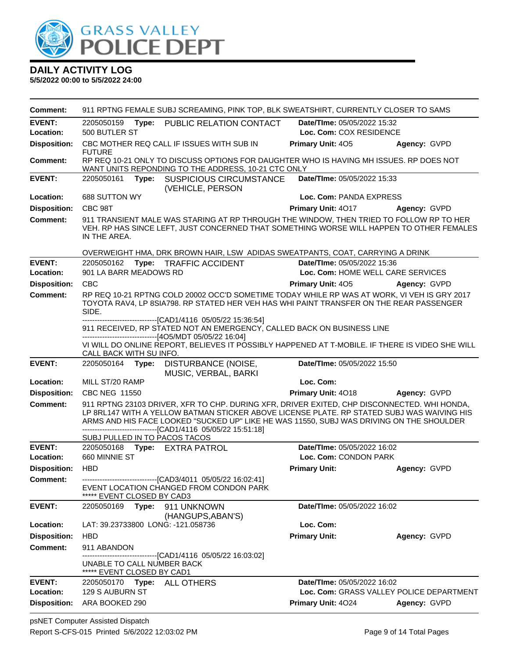

**5/5/2022 00:00 to 5/5/2022 24:00**

| Comment:                               | 911 RPTNG FEMALE SUBJ SCREAMING, PINK TOP, BLK SWEATSHIRT, CURRENTLY CLOSER TO SAMS                                                                                                                                                                                                                                                                   |                                                               |                                                          |
|----------------------------------------|-------------------------------------------------------------------------------------------------------------------------------------------------------------------------------------------------------------------------------------------------------------------------------------------------------------------------------------------------------|---------------------------------------------------------------|----------------------------------------------------------|
| <b>EVENT:</b><br>Location:             | PUBLIC RELATION CONTACT<br>2205050159<br>Type:<br>500 BUTLER ST                                                                                                                                                                                                                                                                                       | <b>Date/Time: 05/05/2022 15:32</b><br>Loc. Com: COX RESIDENCE |                                                          |
| <b>Disposition:</b>                    | CBC MOTHER REQ CALL IF ISSUES WITH SUB IN<br><b>FUTURE</b>                                                                                                                                                                                                                                                                                            | Primary Unit: 405                                             | Agency: GVPD                                             |
| <b>Comment:</b>                        | RP REQ 10-21 ONLY TO DISCUSS OPTIONS FOR DAUGHTER WHO IS HAVING MH ISSUES. RP DOES NOT<br>WANT UNITS REPONDING TO THE ADDRESS, 10-21 CTC ONLY                                                                                                                                                                                                         |                                                               |                                                          |
| <b>EVENT:</b>                          | 2205050161<br><b>SUSPICIOUS CIRCUMSTANCE</b><br>Type:<br>(VEHICLE, PERSON                                                                                                                                                                                                                                                                             | Date/TIme: 05/05/2022 15:33                                   |                                                          |
| Location:                              | 688 SUTTON WY                                                                                                                                                                                                                                                                                                                                         | Loc. Com: PANDA EXPRESS                                       |                                                          |
| <b>Disposition:</b>                    | CBC 98T                                                                                                                                                                                                                                                                                                                                               | Primary Unit: 4017                                            | Agency: GVPD                                             |
| <b>Comment:</b>                        | 911 TRANSIENT MALE WAS STARING AT RP THROUGH THE WINDOW, THEN TRIED TO FOLLOW RP TO HER<br>VEH. RP HAS SINCE LEFT, JUST CONCERNED THAT SOMETHING WORSE WILL HAPPEN TO OTHER FEMALES<br>IN THE AREA.                                                                                                                                                   |                                                               |                                                          |
|                                        | OVERWEIGHT HMA, DRK BROWN HAIR, LSW ADIDAS SWEATPANTS, COAT, CARRYING A DRINK                                                                                                                                                                                                                                                                         |                                                               |                                                          |
| <b>EVENT:</b>                          | 2205050162<br>Type:<br><b>TRAFFIC ACCIDENT</b>                                                                                                                                                                                                                                                                                                        | Date/TIme: 05/05/2022 15:36                                   |                                                          |
| Location:                              | 901 LA BARR MEADOWS RD                                                                                                                                                                                                                                                                                                                                | Loc. Com: HOME WELL CARE SERVICES                             |                                                          |
| <b>Disposition:</b>                    | <b>CBC</b>                                                                                                                                                                                                                                                                                                                                            | Primary Unit: 405                                             | Agency: GVPD                                             |
| <b>Comment:</b>                        | RP REQ 10-21 RPTNG COLD 20002 OCC'D SOMETIME TODAY WHILE RP WAS AT WORK, VI VEH IS GRY 2017<br>TOYOTA RAV4, LP 8SIA798. RP STATED HER VEH HAS WHI PAINT TRANSFER ON THE REAR PASSENGER<br>SIDE.                                                                                                                                                       |                                                               |                                                          |
|                                        | -------------------------------[CAD1/4116 05/05/22 15:36:54]<br>911 RECEIVED, RP STATED NOT AN EMERGENCY, CALLED BACK ON BUSINESS LINE<br>-----------------------[4O5/MDT 05/05/22 16:04]<br>VI WILL DO ONLINE REPORT, BELIEVES IT POSSIBLY HAPPENED AT T-MOBILE. IF THERE IS VIDEO SHE WILL<br>CALL BACK WITH SU INFO.                               |                                                               |                                                          |
|                                        |                                                                                                                                                                                                                                                                                                                                                       |                                                               |                                                          |
| <b>EVENT:</b>                          | 2205050164<br>Type:<br>DISTURBANCE (NOISE,<br>MUSIC, VERBAL, BARKI                                                                                                                                                                                                                                                                                    | Date/TIme: 05/05/2022 15:50                                   |                                                          |
| Location:                              | MILL ST/20 RAMP                                                                                                                                                                                                                                                                                                                                       | Loc. Com:                                                     |                                                          |
| <b>Disposition:</b>                    | <b>CBC NEG 11550</b>                                                                                                                                                                                                                                                                                                                                  | Primary Unit: 4018                                            | Agency: GVPD                                             |
| <b>Comment:</b>                        | 911 RPTNG 23103 DRIVER, XFR TO CHP. DURING XFR, DRIVER EXITED, CHP DISCONNECTED. WHI HONDA,<br>LP 8RL147 WITH A YELLOW BATMAN STICKER ABOVE LICENSE PLATE. RP STATED SUBJ WAS WAIVING HIS<br>ARMS AND HIS FACE LOOKED "SUCKED UP" LIKE HE WAS 11550, SUBJ WAS DRIVING ON THE SHOULDER<br>-------------------------------[CAD1/4116 05/05/22 15:51:18] |                                                               |                                                          |
|                                        | SUBJ PULLED IN TO PACOS TACOS                                                                                                                                                                                                                                                                                                                         |                                                               |                                                          |
| <b>EVENT:</b>                          | 2205050168<br>Type: EXTRA PATROL                                                                                                                                                                                                                                                                                                                      | Date/TIme: 05/05/2022 16:02                                   |                                                          |
| Location:                              | 660 MINNIE ST                                                                                                                                                                                                                                                                                                                                         | Loc. Com: CONDON PARK                                         |                                                          |
| <b>Disposition:</b><br><b>Comment:</b> | <b>HBD</b><br>--------------------------------[CAD3/4011 05/05/22 16:02:41]<br>EVENT LOCATION CHANGED FROM CONDON PARK                                                                                                                                                                                                                                | <b>Primary Unit:</b>                                          | Agency: GVPD                                             |
| <b>EVENT:</b>                          | ***** EVENT CLOSED BY CAD3<br>2205050169<br>Type:<br>911 UNKNOWN                                                                                                                                                                                                                                                                                      | <b>Date/Time: 05/05/2022 16:02</b>                            |                                                          |
| Location:                              | (HANGUPS, ABAN'S)<br>LAT: 39.23733800 LONG: -121.058736                                                                                                                                                                                                                                                                                               | Loc. Com:                                                     |                                                          |
| <b>Disposition:</b>                    | <b>HBD</b>                                                                                                                                                                                                                                                                                                                                            | <b>Primary Unit:</b>                                          | Agency: GVPD                                             |
| Comment:                               | 911 ABANDON                                                                                                                                                                                                                                                                                                                                           |                                                               |                                                          |
|                                        | --------------------------------[CAD1/4116 05/05/22 16:03:02]<br>UNABLE TO CALL NUMBER BACK<br>***** EVENT CLOSED BY CAD1                                                                                                                                                                                                                             |                                                               |                                                          |
| <b>EVENT:</b>                          | Type: ALL OTHERS<br>2205050170                                                                                                                                                                                                                                                                                                                        | Date/TIme: 05/05/2022 16:02                                   |                                                          |
| Location:<br><b>Disposition:</b>       | 129 S AUBURN ST<br>ARA BOOKED 290                                                                                                                                                                                                                                                                                                                     | <b>Primary Unit: 4024</b>                                     | Loc. Com: GRASS VALLEY POLICE DEPARTMENT<br>Agency: GVPD |

psNET Computer Assisted Dispatch Report S-CFS-015 Printed 5/6/2022 12:03:02 PM Page 9 of 14 Total Pages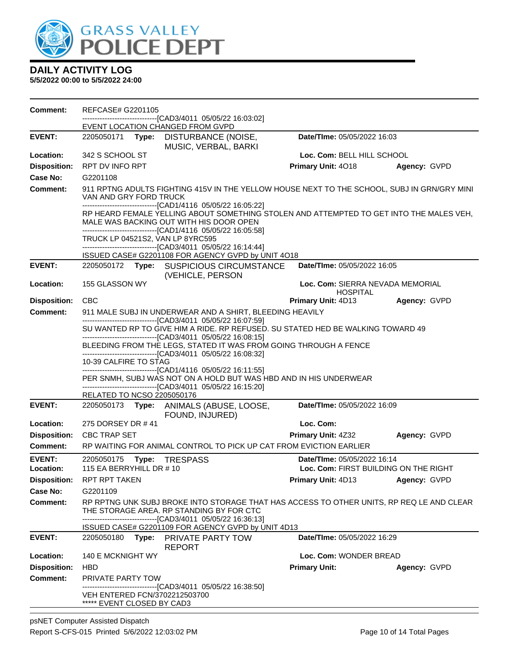

| Comment:            | REFCASE# G2201105                                                                                                                                                                                    |                                                     |              |  |
|---------------------|------------------------------------------------------------------------------------------------------------------------------------------------------------------------------------------------------|-----------------------------------------------------|--------------|--|
|                     | ----------------------[CAD3/4011_05/05/22 16:03:02]<br>EVENT LOCATION CHANGED FROM GVPD                                                                                                              |                                                     |              |  |
| <b>EVENT:</b>       | 2205050171 <b>Type:</b><br>DISTURBANCE (NOISE,<br>MUSIC, VERBAL, BARKI                                                                                                                               | Date/TIme: 05/05/2022 16:03                         |              |  |
| Location:           | 342 S SCHOOL ST                                                                                                                                                                                      | Loc. Com: BELL HILL SCHOOL                          |              |  |
| <b>Disposition:</b> | RPT DV INFO RPT                                                                                                                                                                                      | Primary Unit: 4018                                  | Agency: GVPD |  |
| <b>Case No:</b>     | G2201108                                                                                                                                                                                             |                                                     |              |  |
| Comment:            | 911 RPTNG ADULTS FIGHTING 415V IN THE YELLOW HOUSE NEXT TO THE SCHOOL, SUBJ IN GRN/GRY MINI<br>VAN AND GRY FORD TRUCK<br>------------------------------[CAD1/4116 05/05/22 16:05:22]                 |                                                     |              |  |
|                     | RP HEARD FEMALE YELLING ABOUT SOMETHING STOLEN AND ATTEMPTED TO GET INTO THE MALES VEH,<br>MALE WAS BACKING OUT WITH HIS DOOR OPEN<br>------------------------------[CAD1/4116 05/05/22 16:05:58]    |                                                     |              |  |
|                     | TRUCK LP 04521S2, VAN LP 8YRC595                                                                                                                                                                     |                                                     |              |  |
|                     | ---------------------------------[CAD3/4011 05/05/22 16:14:44]                                                                                                                                       |                                                     |              |  |
| <b>EVENT:</b>       | ISSUED CASE# G2201108 FOR AGENCY GVPD by UNIT 4O18<br>2205050172 Type: SUSPICIOUS CIRCUMSTANCE                                                                                                       | Date/TIme: 05/05/2022 16:05                         |              |  |
|                     | (VEHICLE, PERSON                                                                                                                                                                                     |                                                     |              |  |
| Location:           | 155 GLASSON WY                                                                                                                                                                                       | Loc. Com: SIERRA NEVADA MEMORIAL<br><b>HOSPITAL</b> |              |  |
| <b>Disposition:</b> | CBC                                                                                                                                                                                                  | Primary Unit: 4D13                                  | Agency: GVPD |  |
| <b>Comment:</b>     | 911 MALE SUBJ IN UNDERWEAR AND A SHIRT, BLEEDING HEAVILY                                                                                                                                             |                                                     |              |  |
|                     | -------------------------------[CAD3/4011 05/05/22 16:07:59]<br>SU WANTED RP TO GIVE HIM A RIDE. RP REFUSED. SU STATED HED BE WALKING TOWARD 49                                                      |                                                     |              |  |
|                     | --------------------------------[CAD3/4011 05/05/22 16:08:15]                                                                                                                                        |                                                     |              |  |
|                     | BLEEDING FROM THE LEGS, STATED IT WAS FROM GOING THROUGH A FENCE<br>-------------------------------[CAD3/4011_05/05/22 16:08:32]                                                                     |                                                     |              |  |
|                     | 10-39 CALFIRE TO STAG                                                                                                                                                                                |                                                     |              |  |
|                     | -------------------------[CAD1/4116_05/05/22 16:11:55]<br>PER SNMH, SUBJ WAS NOT ON A HOLD BUT WAS HBD AND IN HIS UNDERWEAR                                                                          |                                                     |              |  |
|                     | -------------------------------[CAD3/4011 05/05/22 16:15:20]                                                                                                                                         |                                                     |              |  |
|                     | RELATED TO NCSO 2205050176                                                                                                                                                                           |                                                     |              |  |
| <b>EVENT:</b>       | 2205050173 Type: ANIMALS (ABUSE, LOOSE,<br>FOUND, INJURED)                                                                                                                                           | Date/TIme: 05/05/2022 16:09                         |              |  |
| Location:           | 275 DORSEY DR #41                                                                                                                                                                                    | Loc. Com:                                           |              |  |
| <b>Disposition:</b> | <b>CBC TRAP SET</b>                                                                                                                                                                                  | <b>Primary Unit: 4Z32</b>                           | Agency: GVPD |  |
| <b>Comment:</b>     | RP WAITING FOR ANIMAL CONTROL TO PICK UP CAT FROM EVICTION EARLIER                                                                                                                                   |                                                     |              |  |
| <b>EVENT:</b>       | 2205050175<br>Type:<br>TRESPASS                                                                                                                                                                      | Date/TIme: 05/05/2022 16:14                         |              |  |
| Location:           | 115 EA BERRYHILL DR $\#$ 10                                                                                                                                                                          | Loc. Com: FIRST BUILDING ON THE RIGHT               |              |  |
| <b>Disposition:</b> | RPT RPT TAKEN                                                                                                                                                                                        | Primary Unit: 4D13                                  | Agency: GVPD |  |
| Case No:            | G2201109                                                                                                                                                                                             |                                                     |              |  |
| Comment:            | RP RPTNG UNK SUBJ BROKE INTO STORAGE THAT HAS ACCESS TO OTHER UNITS, RP REQ LE AND CLEAR<br>THE STORAGE AREA. RP STANDING BY FOR CTC<br>-------------------------------[CAD3/4011 05/05/22 16:36:13] |                                                     |              |  |
|                     | ISSUED CASE# G2201109 FOR AGENCY GVPD by UNIT 4D13                                                                                                                                                   | Date/TIme: 05/05/2022 16:29                         |              |  |
| <b>EVENT:</b>       | Type: PRIVATE PARTY TOW<br>2205050180<br><b>REPORT</b>                                                                                                                                               |                                                     |              |  |
| <b>Location:</b>    | 140 E MCKNIGHT WY                                                                                                                                                                                    | Loc. Com: WONDER BREAD                              |              |  |
| <b>Disposition:</b> | <b>HBD</b>                                                                                                                                                                                           | <b>Primary Unit:</b>                                | Agency: GVPD |  |
| <b>Comment:</b>     | PRIVATE PARTY TOW                                                                                                                                                                                    |                                                     |              |  |
|                     | -------------------------------[CAD3/4011 05/05/22 16:38:50]<br>VEH ENTERED FCN/3702212503700<br>***** EVENT CLOSED BY CAD3                                                                          |                                                     |              |  |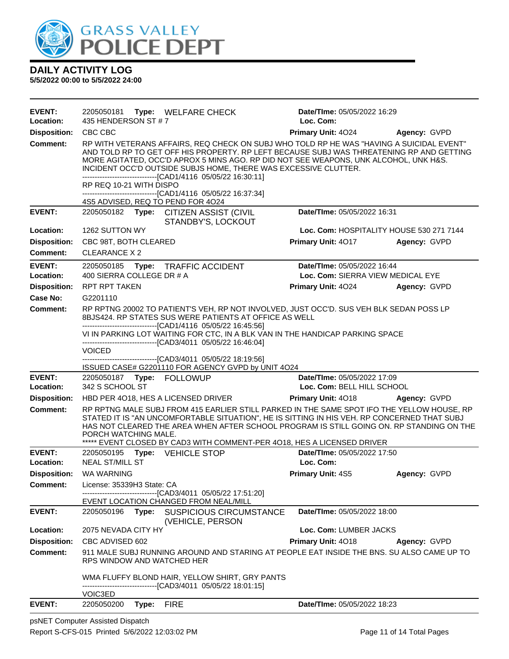

**5/5/2022 00:00 to 5/5/2022 24:00**

| <b>EVENT:</b><br>Location: | 435 HENDERSON ST #7                                          | 2205050181 Type: WELFARE CHECK                                                                                                                                                                                                                                                                                                                                                                                                                                                   | <b>Date/Time: 05/05/2022 16:29</b><br>Loc. Com: |                     |
|----------------------------|--------------------------------------------------------------|----------------------------------------------------------------------------------------------------------------------------------------------------------------------------------------------------------------------------------------------------------------------------------------------------------------------------------------------------------------------------------------------------------------------------------------------------------------------------------|-------------------------------------------------|---------------------|
| <b>Disposition:</b>        | CBC CBC                                                      |                                                                                                                                                                                                                                                                                                                                                                                                                                                                                  | <b>Primary Unit: 4024</b>                       | Agency: GVPD        |
| <b>Comment:</b>            | RP REQ 10-21 WITH DISPO<br>4S5 ADVISED, REQ TO PEND FOR 4O24 | RP WITH VETERANS AFFAIRS, REQ CHECK ON SUBJ WHO TOLD RP HE WAS "HAVING A SUICIDAL EVENT"<br>AND TOLD RP TO GET OFF HIS PROPERTY. RP LEFT BECAUSE SUBJ WAS THREATENING RP AND GETTING<br>MORE AGITATED, OCC'D APROX 5 MINS AGO. RP DID NOT SEE WEAPONS, UNK ALCOHOL, UNK H&S.<br>INCIDENT OCC'D OUTSIDE SUBJS HOME, THERE WAS EXCESSIVE CLUTTER.<br>-------------------------------[CAD1/4116 05/05/22 16:30:11]<br>--------------------------------[CAD1/4116 05/05/22 16:37:34] |                                                 |                     |
| <b>EVENT:</b>              |                                                              | 2205050182 Type: CITIZEN ASSIST (CIVIL                                                                                                                                                                                                                                                                                                                                                                                                                                           | Date/TIme: 05/05/2022 16:31                     |                     |
| Location:                  | 1262 SUTTON WY                                               | STANDBY'S, LOCKOUT                                                                                                                                                                                                                                                                                                                                                                                                                                                               | Loc. Com: HOSPITALITY HOUSE 530 271 7144        |                     |
| <b>Disposition:</b>        | CBC 98T, BOTH CLEARED                                        |                                                                                                                                                                                                                                                                                                                                                                                                                                                                                  | Primary Unit: 4017                              | Agency: GVPD        |
| Comment:                   | CLEARANCE X 2                                                |                                                                                                                                                                                                                                                                                                                                                                                                                                                                                  |                                                 |                     |
| <b>EVENT:</b>              |                                                              | 2205050185 Type: TRAFFIC ACCIDENT                                                                                                                                                                                                                                                                                                                                                                                                                                                | Date/TIme: 05/05/2022 16:44                     |                     |
| Location:                  | 400 SIERRA COLLEGE DR # A                                    |                                                                                                                                                                                                                                                                                                                                                                                                                                                                                  | Loc. Com: SIERRA VIEW MEDICAL EYE               |                     |
| <b>Disposition:</b>        | RPT RPT TAKEN                                                |                                                                                                                                                                                                                                                                                                                                                                                                                                                                                  | Primary Unit: 4024                              | <b>Agency: GVPD</b> |
| Case No:                   | G2201110                                                     |                                                                                                                                                                                                                                                                                                                                                                                                                                                                                  |                                                 |                     |
| Comment:                   |                                                              | RP RPTNG 20002 TO PATIENT'S VEH, RP NOT INVOLVED, JUST OCC'D. SUS VEH BLK SEDAN POSS LP<br>8BJS424. RP STATES SUS WERE PATIENTS AT OFFICE AS WELL                                                                                                                                                                                                                                                                                                                                |                                                 |                     |
|                            | <b>VOICED</b>                                                | --------------------------------[CAD1/4116 05/05/22 16:45:56]<br>VI IN PARKING LOT WAITING FOR CTC, IN A BLK VAN IN THE HANDICAP PARKING SPACE<br>---------------------------------[CAD3/4011 05/05/22 16:46:04]<br>-------------------------------[CAD3/4011 05/05/22 18:19:56]<br>ISSUED CASE# G2201110 FOR AGENCY GVPD by UNIT 4O24                                                                                                                                           |                                                 |                     |
| <b>EVENT:</b>              |                                                              |                                                                                                                                                                                                                                                                                                                                                                                                                                                                                  | Date/TIme: 05/05/2022 17:09                     |                     |
| Location:                  | 342 S SCHOOL ST                                              |                                                                                                                                                                                                                                                                                                                                                                                                                                                                                  | Loc. Com: BELL HILL SCHOOL                      |                     |
| <b>Disposition:</b>        |                                                              | HBD PER 4018, HES A LICENSED DRIVER                                                                                                                                                                                                                                                                                                                                                                                                                                              | Primary Unit: 4018                              | Agency: GVPD        |
| <b>Comment:</b>            | PORCH WATCHING MALE.                                         | RP RPTNG MALE SUBJ FROM 415 EARLIER STILL PARKED IN THE SAME SPOT IFO THE YELLOW HOUSE, RP<br>STATED IT IS "AN UNCOMFORTABLE SITUATION", HE IS SITTING IN HIS VEH. RP CONCERNED THAT SUBJ<br>HAS NOT CLEARED THE AREA WHEN AFTER SCHOOL PROGRAM IS STILL GOING ON. RP STANDING ON THE<br>***** EVENT CLOSED BY CAD3 WITH COMMENT-PER 4018, HES A LICENSED DRIVER                                                                                                                 |                                                 |                     |
| <b>EVENT:</b><br>Location: | 2205050195 Type: VEHICLE STOP<br><b>NEAL ST/MILL ST</b>      |                                                                                                                                                                                                                                                                                                                                                                                                                                                                                  | Date/TIme: 05/05/2022 17:50<br>Loc. Com:        |                     |
| <b>Disposition:</b>        | <b>WA WARNING</b>                                            |                                                                                                                                                                                                                                                                                                                                                                                                                                                                                  | Primary Unit: 4S5                               | Agency: GVPD        |
| <b>Comment:</b>            | License: 35339H3 State: CA                                   |                                                                                                                                                                                                                                                                                                                                                                                                                                                                                  |                                                 |                     |
|                            |                                                              | ----------------------[CAD3/4011 05/05/22 17:51:20]<br>EVENT LOCATION CHANGED FROM NEAL/MILL                                                                                                                                                                                                                                                                                                                                                                                     |                                                 |                     |
| <b>EVENT:</b>              |                                                              | 2205050196 Type: SUSPICIOUS CIRCUMSTANCE                                                                                                                                                                                                                                                                                                                                                                                                                                         | Date/TIme: 05/05/2022 18:00                     |                     |
|                            |                                                              | (VEHICLE, PERSON                                                                                                                                                                                                                                                                                                                                                                                                                                                                 |                                                 |                     |
| Location:                  | 2075 NEVADA CITY HY                                          |                                                                                                                                                                                                                                                                                                                                                                                                                                                                                  | Loc. Com: LUMBER JACKS                          |                     |
| <b>Disposition:</b>        | CBC ADVISED 602                                              |                                                                                                                                                                                                                                                                                                                                                                                                                                                                                  | Primary Unit: 4018                              | Agency: GVPD        |
| <b>Comment:</b>            | RPS WINDOW AND WATCHED HER                                   | 911 MALE SUBJ RUNNING AROUND AND STARING AT PEOPLE EAT INSIDE THE BNS. SU ALSO CAME UP TO                                                                                                                                                                                                                                                                                                                                                                                        |                                                 |                     |
|                            | VOIC3ED                                                      | WMA FLUFFY BLOND HAIR, YELLOW SHIRT, GRY PANTS<br>-----------------------[CAD3/4011_05/05/22 18:01:15]                                                                                                                                                                                                                                                                                                                                                                           |                                                 |                     |
| <b>EVENT:</b>              | 2205050200<br>Type:                                          | <b>FIRE</b>                                                                                                                                                                                                                                                                                                                                                                                                                                                                      | Date/TIme: 05/05/2022 18:23                     |                     |

psNET Computer Assisted Dispatch Report S-CFS-015 Printed 5/6/2022 12:03:02 PM Page 11 of 14 Total Pages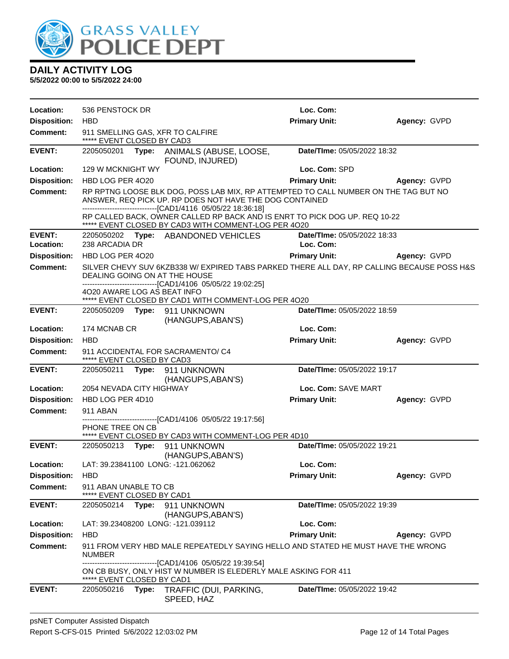

| Location:           | 536 PENSTOCK DR                                     |       |                                                                                                                                                                                                                | Loc. Com:                   |              |
|---------------------|-----------------------------------------------------|-------|----------------------------------------------------------------------------------------------------------------------------------------------------------------------------------------------------------------|-----------------------------|--------------|
| <b>Disposition:</b> | <b>HBD</b>                                          |       |                                                                                                                                                                                                                | <b>Primary Unit:</b>        | Agency: GVPD |
| <b>Comment:</b>     | ***** EVENT CLOSED BY CAD3                          |       | 911 SMELLING GAS, XFR TO CALFIRE                                                                                                                                                                               |                             |              |
| <b>EVENT:</b>       |                                                     |       | 2205050201 Type: ANIMALS (ABUSE, LOOSE,<br>FOUND, INJURED)                                                                                                                                                     | Date/TIme: 05/05/2022 18:32 |              |
| Location:           | 129 W MCKNIGHT WY                                   |       |                                                                                                                                                                                                                | Loc. Com: SPD               |              |
| <b>Disposition:</b> | HBD LOG PER 4020                                    |       |                                                                                                                                                                                                                | <b>Primary Unit:</b>        | Agency: GVPD |
| <b>Comment:</b>     |                                                     |       | RP RPTNG LOOSE BLK DOG, POSS LAB MIX, RP ATTEMPTED TO CALL NUMBER ON THE TAG BUT NO<br>ANSWER, REQ PICK UP. RP DOES NOT HAVE THE DOG CONTAINED<br>-------------------------------[CAD1/4116 05/05/22 18:36:18] |                             |              |
|                     |                                                     |       | RP CALLED BACK, OWNER CALLED RP BACK AND IS ENRT TO PICK DOG UP. REQ 10-22<br>***** EVENT CLOSED BY CAD3 WITH COMMENT-LOG PER 4O20                                                                             |                             |              |
| <b>EVENT:</b>       |                                                     |       | 2205050202 Type: ABANDONED VEHICLES                                                                                                                                                                            | Date/TIme: 05/05/2022 18:33 |              |
| Location:           | 238 ARCADIA DR                                      |       |                                                                                                                                                                                                                | Loc. Com:                   |              |
| <b>Disposition:</b> | HBD LOG PER 4020                                    |       |                                                                                                                                                                                                                | <b>Primary Unit:</b>        | Agency: GVPD |
| <b>Comment:</b>     |                                                     |       | SILVER CHEVY SUV 6KZB338 W/ EXPIRED TABS PARKED THERE ALL DAY, RP CALLING BECAUSE POSS H&S<br>DEALING GOING ON AT THE HOUSE<br>-----------------------------[CAD1/4106_05/05/22 19:02:25]                      |                             |              |
|                     | 4020 AWARE LOG AS BEAT INFO                         |       | ***** EVENT CLOSED BY CAD1 WITH COMMENT-LOG PER 4O20                                                                                                                                                           |                             |              |
| <b>EVENT:</b>       |                                                     |       | (HANGUPS, ABAN'S)                                                                                                                                                                                              | Date/TIme: 05/05/2022 18:59 |              |
| Location:           | 174 MCNAB CR                                        |       |                                                                                                                                                                                                                | Loc. Com:                   |              |
| <b>Disposition:</b> | <b>HBD</b>                                          |       |                                                                                                                                                                                                                | <b>Primary Unit:</b>        | Agency: GVPD |
| <b>Comment:</b>     | ***** EVENT CLOSED BY CAD3                          |       | 911 ACCIDENTAL FOR SACRAMENTO/ C4                                                                                                                                                                              |                             |              |
| <b>EVENT:</b>       |                                                     |       | 2205050211 Type: 911 UNKNOWN<br>(HANGUPS, ABAN'S)                                                                                                                                                              | Date/TIme: 05/05/2022 19:17 |              |
| Location:           | 2054 NEVADA CITY HIGHWAY                            |       |                                                                                                                                                                                                                | Loc. Com: SAVE MART         |              |
| <b>Disposition:</b> | HBD LOG PER 4D10                                    |       |                                                                                                                                                                                                                | <b>Primary Unit:</b>        | Agency: GVPD |
| <b>Comment:</b>     | 911 ABAN                                            |       |                                                                                                                                                                                                                |                             |              |
|                     | PHONE TREE ON CB                                    |       | ------------------------------[CAD1/4106_05/05/22 19:17:56]<br>***** EVENT CLOSED BY CAD3 WITH COMMENT-LOG PER 4D10                                                                                            |                             |              |
| <b>EVENT:</b>       | 2205050213 <b>Type:</b>                             |       | 911 UNKNOWN                                                                                                                                                                                                    | Date/TIme: 05/05/2022 19:21 |              |
|                     |                                                     |       | (HANGUPS, ABAN'S)                                                                                                                                                                                              |                             |              |
| Location:           |                                                     |       | LAT: 39.23841100 LONG: -121.062062                                                                                                                                                                             | Loc. Com:                   |              |
| <b>Disposition:</b> | <b>HBD</b>                                          |       |                                                                                                                                                                                                                | <b>Primary Unit:</b>        | Agency: GVPD |
| Comment:            | 911 ABAN UNABLE TO CB<br>***** EVENT CLOSED BY CAD1 |       |                                                                                                                                                                                                                |                             |              |
| <b>EVENT:</b>       | 2205050214                                          |       | Type: 911 UNKNOWN<br>(HANGUPS, ABAN'S)                                                                                                                                                                         | Date/TIme: 05/05/2022 19:39 |              |
| Location:           |                                                     |       | LAT: 39.23408200 LONG: -121.039112                                                                                                                                                                             | Loc. Com:                   |              |
| <b>Disposition:</b> | <b>HBD</b>                                          |       |                                                                                                                                                                                                                | <b>Primary Unit:</b>        | Agency: GVPD |
| <b>Comment:</b>     | <b>NUMBER</b>                                       |       | 911 FROM VERY HBD MALE REPEATEDLY SAYING HELLO AND STATED HE MUST HAVE THE WRONG                                                                                                                               |                             |              |
|                     | ***** EVENT CLOSED BY CAD1                          |       | -------------------[CAD1/4106 05/05/22 19:39:54]<br>ON CB BUSY, ONLY HIST W NUMBER IS ELEDERLY MALE ASKING FOR 411                                                                                             |                             |              |
| <b>EVENT:</b>       | 2205050216                                          | Type: | TRAFFIC (DUI, PARKING,<br>SPEED, HAZ                                                                                                                                                                           | Date/TIme: 05/05/2022 19:42 |              |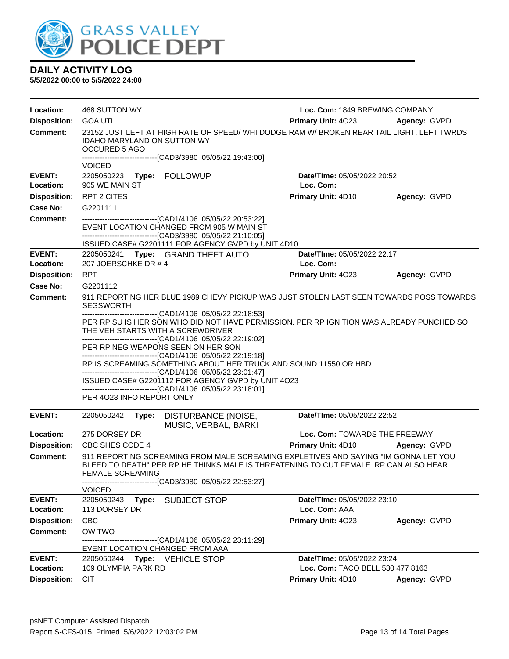

| Location:           | 468 SUTTON WY                                                                                                                                                                                                                                                                                                                                                                                                                                                                                                                                                                                                                | Loc. Com: 1849 BREWING COMPANY   |              |
|---------------------|------------------------------------------------------------------------------------------------------------------------------------------------------------------------------------------------------------------------------------------------------------------------------------------------------------------------------------------------------------------------------------------------------------------------------------------------------------------------------------------------------------------------------------------------------------------------------------------------------------------------------|----------------------------------|--------------|
| <b>Disposition:</b> | <b>GOA UTL</b>                                                                                                                                                                                                                                                                                                                                                                                                                                                                                                                                                                                                               | Primary Unit: 4023               | Agency: GVPD |
| Comment:            | 23152 JUST LEFT AT HIGH RATE OF SPEED/ WHI DODGE RAM W/ BROKEN REAR TAIL LIGHT, LEFT TWRDS<br>IDAHO MARYLAND ON SUTTON WY<br>OCCURED 5 AGO<br>------------------------------[CAD3/3980_05/05/22 19:43:00]<br><b>VOICED</b>                                                                                                                                                                                                                                                                                                                                                                                                   |                                  |              |
| <b>EVENT:</b>       | 2205050223<br>Type: FOLLOWUP                                                                                                                                                                                                                                                                                                                                                                                                                                                                                                                                                                                                 | Date/TIme: 05/05/2022 20:52      |              |
| Location:           | 905 WE MAIN ST                                                                                                                                                                                                                                                                                                                                                                                                                                                                                                                                                                                                               | Loc. Com:                        |              |
| <b>Disposition:</b> | <b>RPT 2 CITES</b>                                                                                                                                                                                                                                                                                                                                                                                                                                                                                                                                                                                                           | Primary Unit: 4D10               | Agency: GVPD |
| Case No:            | G2201111                                                                                                                                                                                                                                                                                                                                                                                                                                                                                                                                                                                                                     |                                  |              |
| Comment:            | ------------------------------[CAD1/4106_05/05/22 20:53:22]<br>EVENT LOCATION CHANGED FROM 905 W MAIN ST<br>--------------------------------[CAD3/3980 05/05/22 21:10:05]                                                                                                                                                                                                                                                                                                                                                                                                                                                    |                                  |              |
| <b>EVENT:</b>       | ISSUED CASE# G2201111 FOR AGENCY GVPD by UNIT 4D10<br>2205050241 Type: GRAND THEFT AUTO                                                                                                                                                                                                                                                                                                                                                                                                                                                                                                                                      | Date/TIme: 05/05/2022 22:17      |              |
| Location:           | 207 JOERSCHKE DR #4                                                                                                                                                                                                                                                                                                                                                                                                                                                                                                                                                                                                          | Loc. Com:                        |              |
| <b>Disposition:</b> | <b>RPT</b>                                                                                                                                                                                                                                                                                                                                                                                                                                                                                                                                                                                                                   | Primary Unit: 4023               | Agency: GVPD |
| Case No:            | G2201112                                                                                                                                                                                                                                                                                                                                                                                                                                                                                                                                                                                                                     |                                  |              |
| Comment:            | 911 REPORTING HER BLUE 1989 CHEVY PICKUP WAS JUST STOLEN LAST SEEN TOWARDS POSS TOWARDS<br><b>SEGSWORTH</b>                                                                                                                                                                                                                                                                                                                                                                                                                                                                                                                  |                                  |              |
|                     | -------------------------------[CAD1/4106 05/05/22 22:18:53]<br>PER RP SU IS HER SON WHO DID NOT HAVE PERMISSION. PER RP IGNITION WAS ALREADY PUNCHED SO<br>THE VEH STARTS WITH A SCREWDRIVER<br>------------------------------[CAD1/4106 05/05/22 22:19:02]<br>PER RP NEG WEAPONS SEEN ON HER SON<br>-------------------------------[CAD1/4106 05/05/22 22:19:18]<br>RP IS SCREAMING SOMETHING ABOUT HER TRUCK AND SOUND 11550 OR HBD<br>-------------------------------[CAD1/4106 05/05/22 23:01:47]<br>ISSUED CASE# G2201112 FOR AGENCY GVPD by UNIT 4O23<br>------------------------------[CAD1/4106  05/05/22 23:18:01] |                                  |              |
|                     | PER 4023 INFO REPORT ONLY                                                                                                                                                                                                                                                                                                                                                                                                                                                                                                                                                                                                    |                                  |              |
| <b>EVENT:</b>       | 2205050242<br>DISTURBANCE (NOISE,<br>Type:<br>MUSIC, VERBAL, BARKI                                                                                                                                                                                                                                                                                                                                                                                                                                                                                                                                                           | Date/TIme: 05/05/2022 22:52      |              |
| Location:           | 275 DORSEY DR                                                                                                                                                                                                                                                                                                                                                                                                                                                                                                                                                                                                                | Loc. Com: TOWARDS THE FREEWAY    |              |
| <b>Disposition:</b> | CBC SHES CODE 4                                                                                                                                                                                                                                                                                                                                                                                                                                                                                                                                                                                                              | Primary Unit: 4D10               | Agency: GVPD |
| <b>Comment:</b>     | 911 REPORTING SCREAMING FROM MALE SCREAMING EXPLETIVES AND SAYING "IM GONNA LET YOU<br>BLEED TO DEATH" PER RP HE THINKS MALE IS THREATENING TO CUT FEMALE. RP CAN ALSO HEAR<br><b>FEMALE SCREAMING</b><br>--------------------------------[CAD3/3980 05/05/22 22:53:27]<br><b>VOICED</b>                                                                                                                                                                                                                                                                                                                                     |                                  |              |
| <b>EVENT:</b>       | 2205050243<br><b>SUBJECT STOP</b><br>Type:                                                                                                                                                                                                                                                                                                                                                                                                                                                                                                                                                                                   | Date/TIme: 05/05/2022 23:10      |              |
| Location:           | 113 DORSEY DR                                                                                                                                                                                                                                                                                                                                                                                                                                                                                                                                                                                                                | Loc. Com: AAA                    |              |
| <b>Disposition:</b> | <b>CBC</b>                                                                                                                                                                                                                                                                                                                                                                                                                                                                                                                                                                                                                   | Primary Unit: 4023               | Agency: GVPD |
| <b>Comment:</b>     | OW TWO                                                                                                                                                                                                                                                                                                                                                                                                                                                                                                                                                                                                                       |                                  |              |
|                     | -----------------------------[CAD1/4106_05/05/22 23:11:29]<br>EVENT LOCATION CHANGED FROM AAA                                                                                                                                                                                                                                                                                                                                                                                                                                                                                                                                |                                  |              |
| <b>EVENT:</b>       | Type: VEHICLE STOP<br>2205050244                                                                                                                                                                                                                                                                                                                                                                                                                                                                                                                                                                                             | Date/TIme: 05/05/2022 23:24      |              |
| Location:           | 109 OLYMPIA PARK RD                                                                                                                                                                                                                                                                                                                                                                                                                                                                                                                                                                                                          | Loc. Com: TACO BELL 530 477 8163 |              |
| <b>Disposition:</b> | <b>CIT</b>                                                                                                                                                                                                                                                                                                                                                                                                                                                                                                                                                                                                                   | Primary Unit: 4D10               | Agency: GVPD |